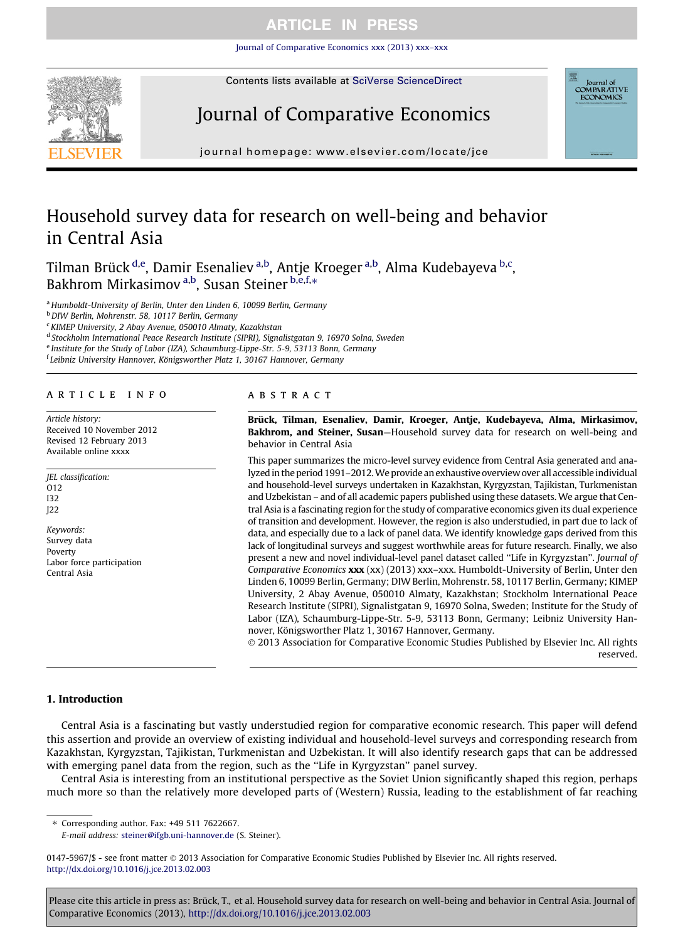[Journal of Comparative Economics xxx \(2013\) xxx–xxx](http://dx.doi.org/10.1016/j.jce.2013.02.003)



Contents lists available at [SciVerse ScienceDirect](http://www.sciencedirect.com/science/journal/01475967)

# Journal of Comparative Economics



journal homepage: [www.elsevier.com/locate/jce](http://www.elsevier.com/locate/jce)

# Household survey data for research on well-being and behavior in Central Asia

Tilman Brück<sup>'d,e</sup>, Damir Esenaliev <sup>a,b</sup>, Antje Kroeger <sup>a,b</sup>, Alma Kudebayeva <sup>b,c</sup>, Bakhrom Mirkasimov <sup>a,b</sup>, Susan Steiner <sup>b,e,f,</sup>\*

<sup>a</sup> Humboldt-University of Berlin, Unter den Linden 6, 10099 Berlin, Germany

**b** DIW Berlin, Mohrenstr. 58, 10117 Berlin, Germany

<sup>c</sup> KIMEP University, 2 Abay Avenue, 050010 Almaty, Kazakhstan

<sup>d</sup> Stockholm International Peace Research Institute (SIPRI), Signalistgatan 9, 16970 Solna, Sweden

<sup>e</sup> Institute for the Study of Labor (IZA), Schaumburg-Lippe-Str. 5-9, 53113 Bonn, Germany

<sup>f</sup> Leibniz University Hannover, Königsworther Platz 1, 30167 Hannover, Germany

#### article info

Article history: Received 10 November 2012 Revised 12 February 2013 Available online xxxx

JEL classification: O12 I32 J22 Keywords:

Survey data Poverty Labor force participation Central Asia

## **ABSTRACT**

Brück, Tilman, Esenaliev, Damir, Kroeger, Antje, Kudebayeva, Alma, Mirkasimov, Bakhrom, and Steiner, Susan—Household survey data for research on well-being and behavior in Central Asia

This paper summarizes the micro-level survey evidence from Central Asia generated and analyzed in the period 1991–2012.We provide an exhaustive overview over all accessible individual and household-level surveys undertaken in Kazakhstan, Kyrgyzstan, Tajikistan, Turkmenistan and Uzbekistan – and of all academic papers published using these datasets. We argue that Central Asia is a fascinating region for the study of comparative economics given its dual experience of transition and development. However, the region is also understudied, in part due to lack of data, and especially due to a lack of panel data. We identify knowledge gaps derived from this lack of longitudinal surveys and suggest worthwhile areas for future research. Finally, we also present a new and novel individual-level panel dataset called ''Life in Kyrgyzstan''. Journal of Comparative Economics  $xxx (xx) (2013)$  xxx-xxx. Humboldt-University of Berlin, Unter den Linden 6, 10099 Berlin, Germany; DIW Berlin, Mohrenstr. 58, 10117 Berlin, Germany; KIMEP University, 2 Abay Avenue, 050010 Almaty, Kazakhstan; Stockholm International Peace Research Institute (SIPRI), Signalistgatan 9, 16970 Solna, Sweden; Institute for the Study of Labor (IZA), Schaumburg-Lippe-Str. 5-9, 53113 Bonn, Germany; Leibniz University Hannover, Königsworther Platz 1, 30167 Hannover, Germany.

© 2013 Association for Comparative Economic Studies Published by Elsevier Inc. All rights reserved.

### 1. Introduction

Central Asia is a fascinating but vastly understudied region for comparative economic research. This paper will defend this assertion and provide an overview of existing individual and household-level surveys and corresponding research from Kazakhstan, Kyrgyzstan, Tajikistan, Turkmenistan and Uzbekistan. It will also identify research gaps that can be addressed with emerging panel data from the region, such as the "Life in Kyrgyzstan" panel survey.

Central Asia is interesting from an institutional perspective as the Soviet Union significantly shaped this region, perhaps much more so than the relatively more developed parts of (Western) Russia, leading to the establishment of far reaching

⇑ Corresponding author. Fax: +49 511 7622667.

0147-5967/\$ - see front matter © 2013 Association for Comparative Economic Studies Published by Elsevier Inc. All rights reserved. <http://dx.doi.org/10.1016/j.jce.2013.02.003>

E-mail address: [steiner@ifgb.uni-hannover.de](mailto:steiner@ifgb.uni-hannover.de) (S. Steiner).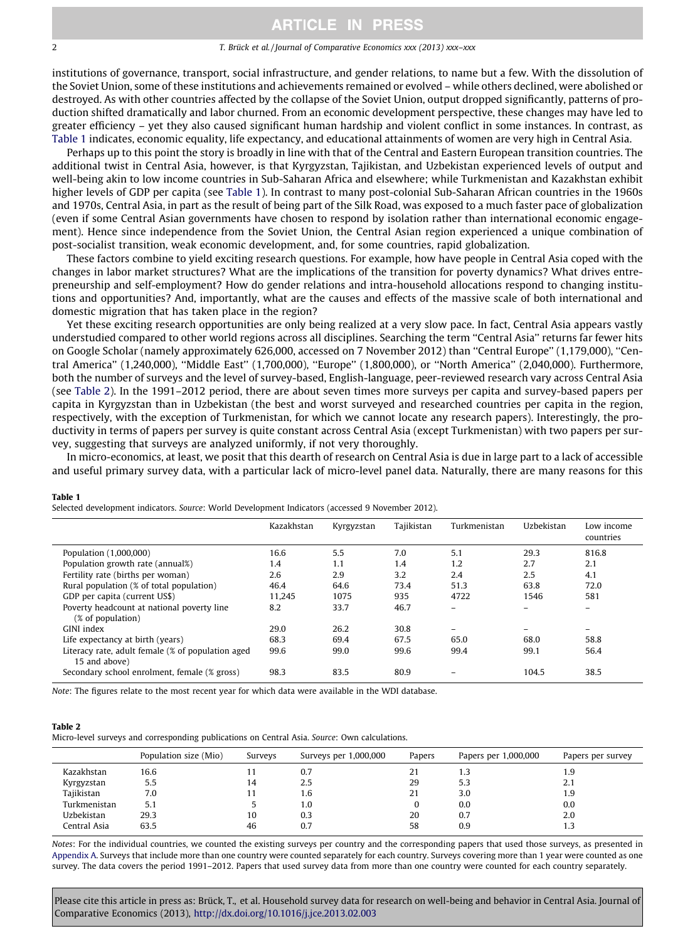<span id="page-1-0"></span>institutions of governance, transport, social infrastructure, and gender relations, to name but a few. With the dissolution of the Soviet Union, some of these institutions and achievements remained or evolved – while others declined, were abolished or destroyed. As with other countries affected by the collapse of the Soviet Union, output dropped significantly, patterns of production shifted dramatically and labor churned. From an economic development perspective, these changes may have led to greater efficiency – yet they also caused significant human hardship and violent conflict in some instances. In contrast, as Table 1 indicates, economic equality, life expectancy, and educational attainments of women are very high in Central Asia.

Perhaps up to this point the story is broadly in line with that of the Central and Eastern European transition countries. The additional twist in Central Asia, however, is that Kyrgyzstan, Tajikistan, and Uzbekistan experienced levels of output and well-being akin to low income countries in Sub-Saharan Africa and elsewhere; while Turkmenistan and Kazakhstan exhibit higher levels of GDP per capita (see Table 1). In contrast to many post-colonial Sub-Saharan African countries in the 1960s and 1970s, Central Asia, in part as the result of being part of the Silk Road, was exposed to a much faster pace of globalization (even if some Central Asian governments have chosen to respond by isolation rather than international economic engagement). Hence since independence from the Soviet Union, the Central Asian region experienced a unique combination of post-socialist transition, weak economic development, and, for some countries, rapid globalization.

These factors combine to yield exciting research questions. For example, how have people in Central Asia coped with the changes in labor market structures? What are the implications of the transition for poverty dynamics? What drives entrepreneurship and self-employment? How do gender relations and intra-household allocations respond to changing institutions and opportunities? And, importantly, what are the causes and effects of the massive scale of both international and domestic migration that has taken place in the region?

Yet these exciting research opportunities are only being realized at a very slow pace. In fact, Central Asia appears vastly understudied compared to other world regions across all disciplines. Searching the term ''Central Asia'' returns far fewer hits on Google Scholar (namely approximately 626,000, accessed on 7 November 2012) than ''Central Europe'' (1,179,000), ''Central America'' (1,240,000), ''Middle East'' (1,700,000), ''Europe'' (1,800,000), or ''North America'' (2,040,000). Furthermore, both the number of surveys and the level of survey-based, English-language, peer-reviewed research vary across Central Asia (see Table 2). In the 1991–2012 period, there are about seven times more surveys per capita and survey-based papers per capita in Kyrgyzstan than in Uzbekistan (the best and worst surveyed and researched countries per capita in the region, respectively, with the exception of Turkmenistan, for which we cannot locate any research papers). Interestingly, the productivity in terms of papers per survey is quite constant across Central Asia (except Turkmenistan) with two papers per survey, suggesting that surveys are analyzed uniformly, if not very thoroughly.

In micro-economics, at least, we posit that this dearth of research on Central Asia is due in large part to a lack of accessible and useful primary survey data, with a particular lack of micro-level panel data. Naturally, there are many reasons for this

|                                                                    | Kazakhstan | Kyrgyzstan | Tajikistan | Turkmenistan             | Uzbekistan | Low income<br>countries |
|--------------------------------------------------------------------|------------|------------|------------|--------------------------|------------|-------------------------|
| Population (1,000,000)                                             | 16.6       | 5.5        | 7.0        | 5.1                      | 29.3       | 816.8                   |
| Population growth rate (annual%)                                   | 1.4        | 1.1        | 1.4        | 1.2                      | 2.7        | 2.1                     |
| Fertility rate (births per woman)                                  | 2.6        | 2.9        | 3.2        | 2.4                      | 2.5        | 4.1                     |
| Rural population (% of total population)                           | 46.4       | 64.6       | 73.4       | 51.3                     | 63.8       | 72.0                    |
| GDP per capita (current US\$)                                      | 11.245     | 1075       | 935        | 4722                     | 1546       | 581                     |
| Poverty headcount at national poverty line<br>(% of population)    | 8.2        | 33.7       | 46.7       | $\overline{\phantom{0}}$ |            | -                       |
| GINI index                                                         | 29.0       | 26.2       | 30.8       | $\overline{ }$           |            |                         |
| Life expectancy at birth (years)                                   | 68.3       | 69.4       | 67.5       | 65.0                     | 68.0       | 58.8                    |
| Literacy rate, adult female (% of population aged<br>15 and above) | 99.6       | 99.0       | 99.6       | 99.4                     | 99.1       | 56.4                    |
| Secondary school enrolment, female (% gross)                       | 98.3       | 83.5       | 80.9       |                          | 104.5      | 38.5                    |

Selected development indicators. Source: World Development Indicators (accessed 9 November 2012).

Note: The figures relate to the most recent year for which data were available in the WDI database.

#### Table 2

Table 1

Micro-level surveys and corresponding publications on Central Asia. Source: Own calculations.

|              | Population size (Mio) | Surveys | Surveys per 1,000,000 | Papers | Papers per 1,000,000 | Papers per survey |
|--------------|-----------------------|---------|-----------------------|--------|----------------------|-------------------|
| Kazakhstan   | 16.6                  |         | 0.7                   | 21     | 1.3                  | 1.9               |
| Kyrgyzstan   | 5.5                   | 14      | 2.5                   | 29     | 5.3                  | 2.1               |
| Tajikistan   | 7.0                   |         | 1.6                   | 21     | 3.0                  | 1.9               |
| Turkmenistan | 5.1                   |         | 1.0                   |        | 0.0                  | 0.0               |
| Uzbekistan   | 29.3                  | 10      | 0.3                   | 20     | 0.7                  | 2.0               |
| Central Asia | 63.5                  | 46      | 0.7                   | 58     | 0.9                  | 1.3               |

Notes: For the individual countries, we counted the existing surveys per country and the corresponding papers that used those surveys, as presented in Appendix A. Surveys that include more than one country were counted separately for each country. Surveys covering more than 1 year were counted as one survey. The data covers the period 1991–2012. Papers that used survey data from more than one country were counted for each country separately.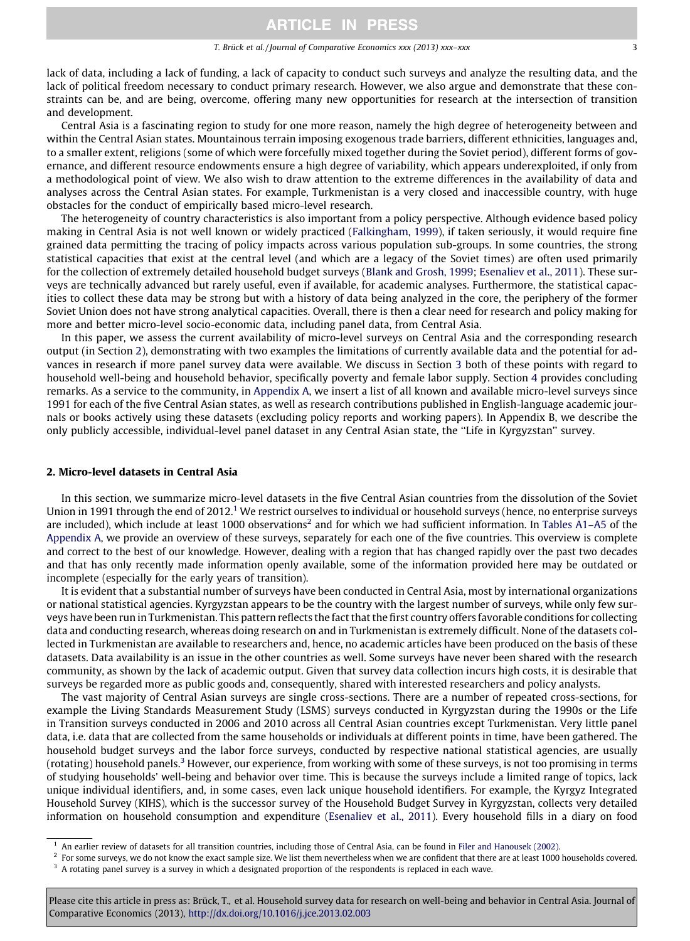lack of data, including a lack of funding, a lack of capacity to conduct such surveys and analyze the resulting data, and the lack of political freedom necessary to conduct primary research. However, we also argue and demonstrate that these constraints can be, and are being, overcome, offering many new opportunities for research at the intersection of transition and development.

Central Asia is a fascinating region to study for one more reason, namely the high degree of heterogeneity between and within the Central Asian states. Mountainous terrain imposing exogenous trade barriers, different ethnicities, languages and, to a smaller extent, religions (some of which were forcefully mixed together during the Soviet period), different forms of governance, and different resource endowments ensure a high degree of variability, which appears underexploited, if only from a methodological point of view. We also wish to draw attention to the extreme differences in the availability of data and analyses across the Central Asian states. For example, Turkmenistan is a very closed and inaccessible country, with huge obstacles for the conduct of empirically based micro-level research.

The heterogeneity of country characteristics is also important from a policy perspective. Although evidence based policy making in Central Asia is not well known or widely practiced [\(Falkingham, 1999\)](#page-15-0), if taken seriously, it would require fine grained data permitting the tracing of policy impacts across various population sub-groups. In some countries, the strong statistical capacities that exist at the central level (and which are a legacy of the Soviet times) are often used primarily for the collection of extremely detailed household budget surveys ([Blank and Grosh, 1999](#page-14-0); [Esenaliev et al., 2011](#page-15-0)). These surveys are technically advanced but rarely useful, even if available, for academic analyses. Furthermore, the statistical capacities to collect these data may be strong but with a history of data being analyzed in the core, the periphery of the former Soviet Union does not have strong analytical capacities. Overall, there is then a clear need for research and policy making for more and better micro-level socio-economic data, including panel data, from Central Asia.

In this paper, we assess the current availability of micro-level surveys on Central Asia and the corresponding research output (in Section 2), demonstrating with two examples the limitations of currently available data and the potential for advances in research if more panel survey data were available. We discuss in Section 3 both of these points with regard to household well-being and household behavior, specifically poverty and female labor supply. Section 4 provides concluding remarks. As a service to the community, in Appendix A, we insert a list of all known and available micro-level surveys since 1991 for each of the five Central Asian states, as well as research contributions published in English-language academic journals or books actively using these datasets (excluding policy reports and working papers). In Appendix B, we describe the only publicly accessible, individual-level panel dataset in any Central Asian state, the ''Life in Kyrgyzstan'' survey.

# 2. Micro-level datasets in Central Asia

In this section, we summarize micro-level datasets in the five Central Asian countries from the dissolution of the Soviet Union in 1991 through the end of 2012.<sup>1</sup> We restrict ourselves to individual or household surveys (hence, no enterprise surveys are included), which include at least 1000 observations<sup>2</sup> and for which we had sufficient information. In Tables A1-A5 of the Appendix A, we provide an overview of these surveys, separately for each one of the five countries. This overview is complete and correct to the best of our knowledge. However, dealing with a region that has changed rapidly over the past two decades and that has only recently made information openly available, some of the information provided here may be outdated or incomplete (especially for the early years of transition).

It is evident that a substantial number of surveys have been conducted in Central Asia, most by international organizations or national statistical agencies. Kyrgyzstan appears to be the country with the largest number of surveys, while only few surveys have been run in Turkmenistan. This pattern reflects the fact that the first country offers favorable conditions for collecting data and conducting research, whereas doing research on and in Turkmenistan is extremely difficult. None of the datasets collected in Turkmenistan are available to researchers and, hence, no academic articles have been produced on the basis of these datasets. Data availability is an issue in the other countries as well. Some surveys have never been shared with the research community, as shown by the lack of academic output. Given that survey data collection incurs high costs, it is desirable that surveys be regarded more as public goods and, consequently, shared with interested researchers and policy analysts.

The vast majority of Central Asian surveys are single cross-sections. There are a number of repeated cross-sections, for example the Living Standards Measurement Study (LSMS) surveys conducted in Kyrgyzstan during the 1990s or the Life in Transition surveys conducted in 2006 and 2010 across all Central Asian countries except Turkmenistan. Very little panel data, i.e. data that are collected from the same households or individuals at different points in time, have been gathered. The household budget surveys and the labor force surveys, conducted by respective national statistical agencies, are usually (rotating) household panels.3 However, our experience, from working with some of these surveys, is not too promising in terms of studying households' well-being and behavior over time. This is because the surveys include a limited range of topics, lack unique individual identifiers, and, in some cases, even lack unique household identifiers. For example, the Kyrgyz Integrated Household Survey (KIHS), which is the successor survey of the Household Budget Survey in Kyrgyzstan, collects very detailed information on household consumption and expenditure [\(Esenaliev et al., 2011\)](#page-15-0). Every household fills in a diary on food

<sup>&</sup>lt;sup>1</sup> An earlier review of datasets for all transition countries, including those of Central Asia, can be found in [Filer and Hanousek \(2002\).](#page-15-0)

 $2$  For some surveys, we do not know the exact sample size. We list them nevertheless when we are confident that there are at least 1000 households covered.  $3$  A rotating panel survey is a survey in which a designated proportion of the respondents is replaced in each wave.

Please cite this article in press as: Brück, T., et al. Household survey data for research on well-being and behavior in Central Asia. Journal of Comparative Economics (2013), <http://dx.doi.org/10.1016/j.jce.2013.02.003>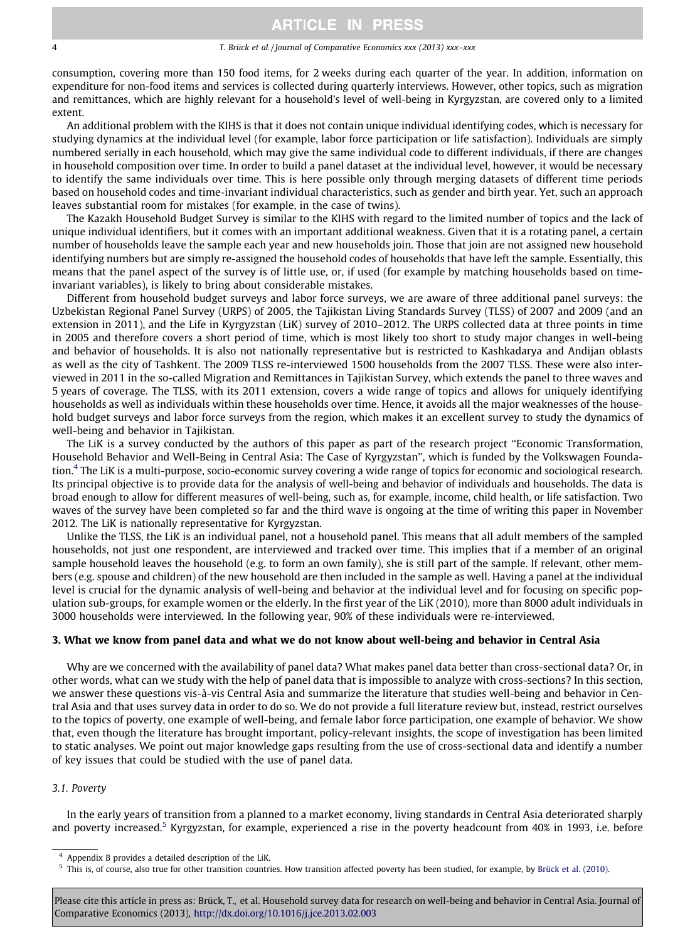consumption, covering more than 150 food items, for 2 weeks during each quarter of the year. In addition, information on expenditure for non-food items and services is collected during quarterly interviews. However, other topics, such as migration and remittances, which are highly relevant for a household's level of well-being in Kyrgyzstan, are covered only to a limited extent.

An additional problem with the KIHS is that it does not contain unique individual identifying codes, which is necessary for studying dynamics at the individual level (for example, labor force participation or life satisfaction). Individuals are simply numbered serially in each household, which may give the same individual code to different individuals, if there are changes in household composition over time. In order to build a panel dataset at the individual level, however, it would be necessary to identify the same individuals over time. This is here possible only through merging datasets of different time periods based on household codes and time-invariant individual characteristics, such as gender and birth year. Yet, such an approach leaves substantial room for mistakes (for example, in the case of twins).

The Kazakh Household Budget Survey is similar to the KIHS with regard to the limited number of topics and the lack of unique individual identifiers, but it comes with an important additional weakness. Given that it is a rotating panel, a certain number of households leave the sample each year and new households join. Those that join are not assigned new household identifying numbers but are simply re-assigned the household codes of households that have left the sample. Essentially, this means that the panel aspect of the survey is of little use, or, if used (for example by matching households based on timeinvariant variables), is likely to bring about considerable mistakes.

Different from household budget surveys and labor force surveys, we are aware of three additional panel surveys: the Uzbekistan Regional Panel Survey (URPS) of 2005, the Tajikistan Living Standards Survey (TLSS) of 2007 and 2009 (and an extension in 2011), and the Life in Kyrgyzstan (LiK) survey of 2010–2012. The URPS collected data at three points in time in 2005 and therefore covers a short period of time, which is most likely too short to study major changes in well-being and behavior of households. It is also not nationally representative but is restricted to Kashkadarya and Andijan oblasts as well as the city of Tashkent. The 2009 TLSS re-interviewed 1500 households from the 2007 TLSS. These were also interviewed in 2011 in the so-called Migration and Remittances in Tajikistan Survey, which extends the panel to three waves and 5 years of coverage. The TLSS, with its 2011 extension, covers a wide range of topics and allows for uniquely identifying households as well as individuals within these households over time. Hence, it avoids all the major weaknesses of the household budget surveys and labor force surveys from the region, which makes it an excellent survey to study the dynamics of well-being and behavior in Tajikistan.

The LiK is a survey conducted by the authors of this paper as part of the research project ''Economic Transformation, Household Behavior and Well-Being in Central Asia: The Case of Kyrgyzstan'', which is funded by the Volkswagen Foundation.4 The LiK is a multi-purpose, socio-economic survey covering a wide range of topics for economic and sociological research. Its principal objective is to provide data for the analysis of well-being and behavior of individuals and households. The data is broad enough to allow for different measures of well-being, such as, for example, income, child health, or life satisfaction. Two waves of the survey have been completed so far and the third wave is ongoing at the time of writing this paper in November 2012. The LiK is nationally representative for Kyrgyzstan.

Unlike the TLSS, the LiK is an individual panel, not a household panel. This means that all adult members of the sampled households, not just one respondent, are interviewed and tracked over time. This implies that if a member of an original sample household leaves the household (e.g. to form an own family), she is still part of the sample. If relevant, other members (e.g. spouse and children) of the new household are then included in the sample as well. Having a panel at the individual level is crucial for the dynamic analysis of well-being and behavior at the individual level and for focusing on specific population sub-groups, for example women or the elderly. In the first year of the LiK (2010), more than 8000 adult individuals in 3000 households were interviewed. In the following year, 90% of these individuals were re-interviewed.

# 3. What we know from panel data and what we do not know about well-being and behavior in Central Asia

Why are we concerned with the availability of panel data? What makes panel data better than cross-sectional data? Or, in other words, what can we study with the help of panel data that is impossible to analyze with cross-sections? In this section, we answer these questions vis-à-vis Central Asia and summarize the literature that studies well-being and behavior in Central Asia and that uses survey data in order to do so. We do not provide a full literature review but, instead, restrict ourselves to the topics of poverty, one example of well-being, and female labor force participation, one example of behavior. We show that, even though the literature has brought important, policy-relevant insights, the scope of investigation has been limited to static analyses. We point out major knowledge gaps resulting from the use of cross-sectional data and identify a number of key issues that could be studied with the use of panel data.

# 3.1. Poverty

In the early years of transition from a planned to a market economy, living standards in Central Asia deteriorated sharply and poverty increased.<sup>5</sup> Kyrgyzstan, for example, experienced a rise in the poverty headcount from 40% in 1993, i.e. before

<sup>4</sup> Appendix B provides a detailed description of the LiK.

<sup>5</sup> This is, of course, also true for other transition countries. How transition affected poverty has been studied, for example, by [Brück et al. \(2010\).](#page-14-0)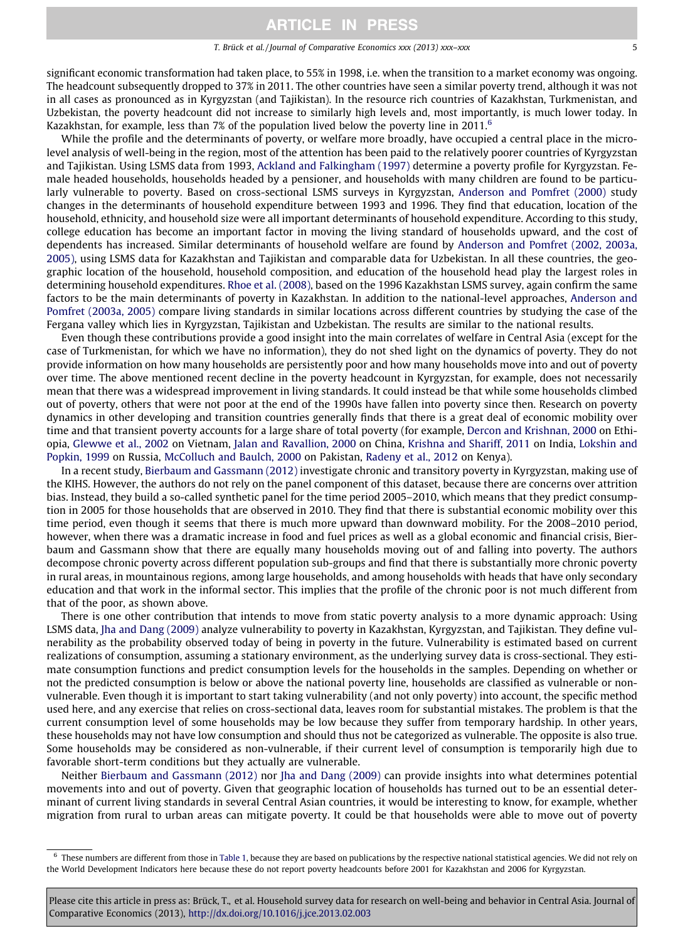#### T. Brück et al. / Journal of Comparative Economics xxx (2013) xxx–xxx 5

significant economic transformation had taken place, to 55% in 1998, i.e. when the transition to a market economy was ongoing. The headcount subsequently dropped to 37% in 2011. The other countries have seen a similar poverty trend, although it was not in all cases as pronounced as in Kyrgyzstan (and Tajikistan). In the resource rich countries of Kazakhstan, Turkmenistan, and Uzbekistan, the poverty headcount did not increase to similarly high levels and, most importantly, is much lower today. In Kazakhstan, for example, less than 7% of the population lived below the poverty line in  $2011<sup>6</sup>$ 

While the profile and the determinants of poverty, or welfare more broadly, have occupied a central place in the microlevel analysis of well-being in the region, most of the attention has been paid to the relatively poorer countries of Kyrgyzstan and Tajikistan. Using LSMS data from 1993, [Ackland and Falkingham \(1997\)](#page-14-0) determine a poverty profile for Kyrgyzstan. Female headed households, households headed by a pensioner, and households with many children are found to be particularly vulnerable to poverty. Based on cross-sectional LSMS surveys in Kyrgyzstan, [Anderson and Pomfret \(2000\)](#page-14-0) study changes in the determinants of household expenditure between 1993 and 1996. They find that education, location of the household, ethnicity, and household size were all important determinants of household expenditure. According to this study, college education has become an important factor in moving the living standard of households upward, and the cost of dependents has increased. Similar determinants of household welfare are found by [Anderson and Pomfret \(2002, 2003a,](#page-14-0) [2005\),](#page-14-0) using LSMS data for Kazakhstan and Tajikistan and comparable data for Uzbekistan. In all these countries, the geographic location of the household, household composition, and education of the household head play the largest roles in determining household expenditures. [Rhoe et al. \(2008\)](#page-15-0), based on the 1996 Kazakhstan LSMS survey, again confirm the same factors to be the main determinants of poverty in Kazakhstan. In addition to the national-level approaches, [Anderson and](#page-14-0) [Pomfret \(2003a, 2005\)](#page-14-0) compare living standards in similar locations across different countries by studying the case of the Fergana valley which lies in Kyrgyzstan, Tajikistan and Uzbekistan. The results are similar to the national results.

Even though these contributions provide a good insight into the main correlates of welfare in Central Asia (except for the case of Turkmenistan, for which we have no information), they do not shed light on the dynamics of poverty. They do not provide information on how many households are persistently poor and how many households move into and out of poverty over time. The above mentioned recent decline in the poverty headcount in Kyrgyzstan, for example, does not necessarily mean that there was a widespread improvement in living standards. It could instead be that while some households climbed out of poverty, others that were not poor at the end of the 1990s have fallen into poverty since then. Research on poverty dynamics in other developing and transition countries generally finds that there is a great deal of economic mobility over time and that transient poverty accounts for a large share of total poverty (for example, [Dercon and Krishnan, 2000](#page-14-0) on Ethiopia, [Glewwe et al., 2002](#page-15-0) on Vietnam, [Jalan and Ravallion, 2000](#page-15-0) on China, [Krishna and Shariff, 2011](#page-15-0) on India, [Lokshin and](#page-15-0) [Popkin, 1999](#page-15-0) on Russia, [McColluch and Baulch, 2000](#page-15-0) on Pakistan, [Radeny et al., 2012](#page-15-0) on Kenya).

In a recent study, [Bierbaum and Gassmann \(2012\)](#page-14-0) investigate chronic and transitory poverty in Kyrgyzstan, making use of the KIHS. However, the authors do not rely on the panel component of this dataset, because there are concerns over attrition bias. Instead, they build a so-called synthetic panel for the time period 2005–2010, which means that they predict consumption in 2005 for those households that are observed in 2010. They find that there is substantial economic mobility over this time period, even though it seems that there is much more upward than downward mobility. For the 2008–2010 period, however, when there was a dramatic increase in food and fuel prices as well as a global economic and financial crisis, Bierbaum and Gassmann show that there are equally many households moving out of and falling into poverty. The authors decompose chronic poverty across different population sub-groups and find that there is substantially more chronic poverty in rural areas, in mountainous regions, among large households, and among households with heads that have only secondary education and that work in the informal sector. This implies that the profile of the chronic poor is not much different from that of the poor, as shown above.

There is one other contribution that intends to move from static poverty analysis to a more dynamic approach: Using LSMS data, [Jha and Dang \(2009\)](#page-15-0) analyze vulnerability to poverty in Kazakhstan, Kyrgyzstan, and Tajikistan. They define vulnerability as the probability observed today of being in poverty in the future. Vulnerability is estimated based on current realizations of consumption, assuming a stationary environment, as the underlying survey data is cross-sectional. They estimate consumption functions and predict consumption levels for the households in the samples. Depending on whether or not the predicted consumption is below or above the national poverty line, households are classified as vulnerable or nonvulnerable. Even though it is important to start taking vulnerability (and not only poverty) into account, the specific method used here, and any exercise that relies on cross-sectional data, leaves room for substantial mistakes. The problem is that the current consumption level of some households may be low because they suffer from temporary hardship. In other years, these households may not have low consumption and should thus not be categorized as vulnerable. The opposite is also true. Some households may be considered as non-vulnerable, if their current level of consumption is temporarily high due to favorable short-term conditions but they actually are vulnerable.

Neither [Bierbaum and Gassmann \(2012\)](#page-14-0) nor [Jha and Dang \(2009\)](#page-15-0) can provide insights into what determines potential movements into and out of poverty. Given that geographic location of households has turned out to be an essential determinant of current living standards in several Central Asian countries, it would be interesting to know, for example, whether migration from rural to urban areas can mitigate poverty. It could be that households were able to move out of poverty

<sup>6</sup> These numbers are different from those in [Table 1,](#page-1-0) because they are based on publications by the respective national statistical agencies. We did not rely on the World Development Indicators here because these do not report poverty headcounts before 2001 for Kazakhstan and 2006 for Kyrgyzstan.

Please cite this article in press as: Brück, T., et al. Household survey data for research on well-being and behavior in Central Asia. Journal of Comparative Economics (2013), <http://dx.doi.org/10.1016/j.jce.2013.02.003>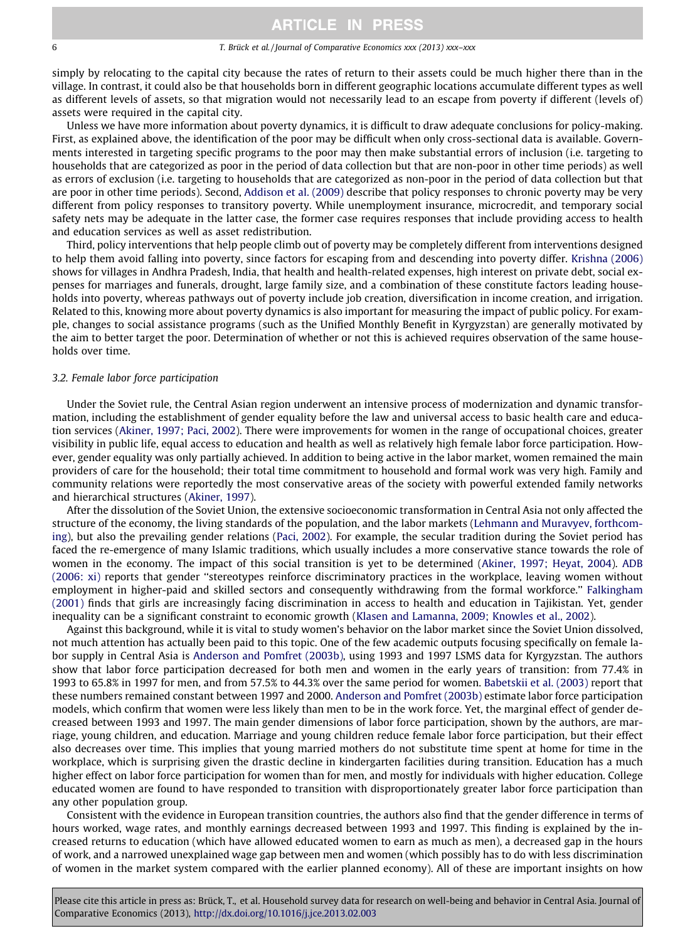## 6 T. Brück et al. / Journal of Comparative Economics xxx (2013) xxx–xxx

simply by relocating to the capital city because the rates of return to their assets could be much higher there than in the village. In contrast, it could also be that households born in different geographic locations accumulate different types as well as different levels of assets, so that migration would not necessarily lead to an escape from poverty if different (levels of) assets were required in the capital city.

Unless we have more information about poverty dynamics, it is difficult to draw adequate conclusions for policy-making. First, as explained above, the identification of the poor may be difficult when only cross-sectional data is available. Governments interested in targeting specific programs to the poor may then make substantial errors of inclusion (i.e. targeting to households that are categorized as poor in the period of data collection but that are non-poor in other time periods) as well as errors of exclusion (i.e. targeting to households that are categorized as non-poor in the period of data collection but that are poor in other time periods). Second, [Addison et al. \(2009\)](#page-14-0) describe that policy responses to chronic poverty may be very different from policy responses to transitory poverty. While unemployment insurance, microcredit, and temporary social safety nets may be adequate in the latter case, the former case requires responses that include providing access to health and education services as well as asset redistribution.

Third, policy interventions that help people climb out of poverty may be completely different from interventions designed to help them avoid falling into poverty, since factors for escaping from and descending into poverty differ. [Krishna \(2006\)](#page-15-0) shows for villages in Andhra Pradesh, India, that health and health-related expenses, high interest on private debt, social expenses for marriages and funerals, drought, large family size, and a combination of these constitute factors leading households into poverty, whereas pathways out of poverty include job creation, diversification in income creation, and irrigation. Related to this, knowing more about poverty dynamics is also important for measuring the impact of public policy. For example, changes to social assistance programs (such as the Unified Monthly Benefit in Kyrgyzstan) are generally motivated by the aim to better target the poor. Determination of whether or not this is achieved requires observation of the same households over time.

### 3.2. Female labor force participation

Under the Soviet rule, the Central Asian region underwent an intensive process of modernization and dynamic transformation, including the establishment of gender equality before the law and universal access to basic health care and education services [\(Akiner, 1997; Paci, 2002](#page-14-0)). There were improvements for women in the range of occupational choices, greater visibility in public life, equal access to education and health as well as relatively high female labor force participation. However, gender equality was only partially achieved. In addition to being active in the labor market, women remained the main providers of care for the household; their total time commitment to household and formal work was very high. Family and community relations were reportedly the most conservative areas of the society with powerful extended family networks and hierarchical structures ([Akiner, 1997](#page-14-0)).

After the dissolution of the Soviet Union, the extensive socioeconomic transformation in Central Asia not only affected the structure of the economy, the living standards of the population, and the labor markets [\(Lehmann and Muravyev, forthcom](#page-15-0)[ing\)](#page-15-0), but also the prevailing gender relations [\(Paci, 2002](#page-15-0)). For example, the secular tradition during the Soviet period has faced the re-emergence of many Islamic traditions, which usually includes a more conservative stance towards the role of women in the economy. The impact of this social transition is yet to be determined [\(Akiner, 1997; Heyat, 2004\)](#page-14-0). [ADB](#page-14-0) [\(2006: xi\)](#page-14-0) reports that gender ''stereotypes reinforce discriminatory practices in the workplace, leaving women without employment in higher-paid and skilled sectors and consequently withdrawing from the formal workforce.'' [Falkingham](#page-15-0) [\(2001\)](#page-15-0) finds that girls are increasingly facing discrimination in access to health and education in Tajikistan. Yet, gender inequality can be a significant constraint to economic growth [\(Klasen and Lamanna, 2009; Knowles et al., 2002\)](#page-15-0).

Against this background, while it is vital to study women's behavior on the labor market since the Soviet Union dissolved, not much attention has actually been paid to this topic. One of the few academic outputs focusing specifically on female labor supply in Central Asia is [Anderson and Pomfret \(2003b\),](#page-14-0) using 1993 and 1997 LSMS data for Kyrgyzstan. The authors show that labor force participation decreased for both men and women in the early years of transition: from 77.4% in 1993 to 65.8% in 1997 for men, and from 57.5% to 44.3% over the same period for women. [Babetskii et al. \(2003\)](#page-14-0) report that these numbers remained constant between 1997 and 2000. [Anderson and Pomfret \(2003b\)](#page-14-0) estimate labor force participation models, which confirm that women were less likely than men to be in the work force. Yet, the marginal effect of gender decreased between 1993 and 1997. The main gender dimensions of labor force participation, shown by the authors, are marriage, young children, and education. Marriage and young children reduce female labor force participation, but their effect also decreases over time. This implies that young married mothers do not substitute time spent at home for time in the workplace, which is surprising given the drastic decline in kindergarten facilities during transition. Education has a much higher effect on labor force participation for women than for men, and mostly for individuals with higher education. College educated women are found to have responded to transition with disproportionately greater labor force participation than any other population group.

Consistent with the evidence in European transition countries, the authors also find that the gender difference in terms of hours worked, wage rates, and monthly earnings decreased between 1993 and 1997. This finding is explained by the increased returns to education (which have allowed educated women to earn as much as men), a decreased gap in the hours of work, and a narrowed unexplained wage gap between men and women (which possibly has to do with less discrimination of women in the market system compared with the earlier planned economy). All of these are important insights on how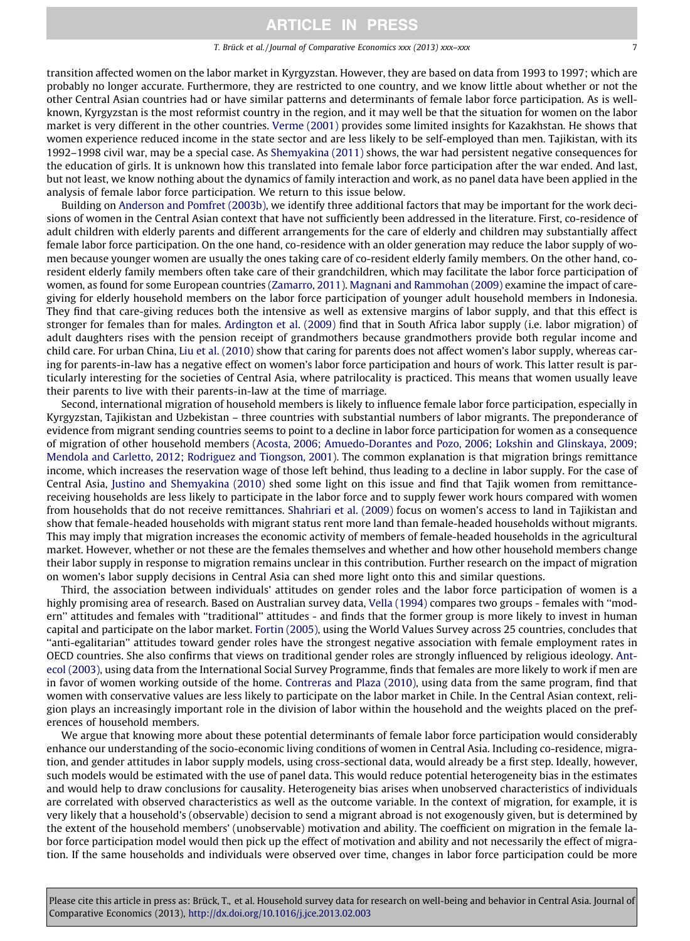transition affected women on the labor market in Kyrgyzstan. However, they are based on data from 1993 to 1997; which are probably no longer accurate. Furthermore, they are restricted to one country, and we know little about whether or not the other Central Asian countries had or have similar patterns and determinants of female labor force participation. As is wellknown, Kyrgyzstan is the most reformist country in the region, and it may well be that the situation for women on the labor market is very different in the other countries. [Verme \(2001\)](#page-16-0) provides some limited insights for Kazakhstan. He shows that women experience reduced income in the state sector and are less likely to be self-employed than men. Tajikistan, with its 1992–1998 civil war, may be a special case. As [Shemyakina \(2011\)](#page-16-0) shows, the war had persistent negative consequences for the education of girls. It is unknown how this translated into female labor force participation after the war ended. And last, but not least, we know nothing about the dynamics of family interaction and work, as no panel data have been applied in the

analysis of female labor force participation. We return to this issue below. Building on [Anderson and Pomfret \(2003b\),](#page-14-0) we identify three additional factors that may be important for the work decisions of women in the Central Asian context that have not sufficiently been addressed in the literature. First, co-residence of adult children with elderly parents and different arrangements for the care of elderly and children may substantially affect female labor force participation. On the one hand, co-residence with an older generation may reduce the labor supply of women because younger women are usually the ones taking care of co-resident elderly family members. On the other hand, coresident elderly family members often take care of their grandchildren, which may facilitate the labor force participation of women, as found for some European countries ([Zamarro, 2011](#page-16-0)). [Magnani and Rammohan \(2009\)](#page-15-0) examine the impact of caregiving for elderly household members on the labor force participation of younger adult household members in Indonesia. They find that care-giving reduces both the intensive as well as extensive margins of labor supply, and that this effect is stronger for females than for males. [Ardington et al. \(2009\)](#page-14-0) find that in South Africa labor supply (i.e. labor migration) of adult daughters rises with the pension receipt of grandmothers because grandmothers provide both regular income and child care. For urban China, [Liu et al. \(2010\)](#page-15-0) show that caring for parents does not affect women's labor supply, whereas caring for parents-in-law has a negative effect on women's labor force participation and hours of work. This latter result is particularly interesting for the societies of Central Asia, where patrilocality is practiced. This means that women usually leave their parents to live with their parents-in-law at the time of marriage.

Second, international migration of household members is likely to influence female labor force participation, especially in Kyrgyzstan, Tajikistan and Uzbekistan – three countries with substantial numbers of labor migrants. The preponderance of evidence from migrant sending countries seems to point to a decline in labor force participation for women as a consequence of migration of other household members [\(Acosta, 2006; Amuedo-Dorantes and Pozo, 2006; Lokshin and Glinskaya, 2009;](#page-14-0) [Mendola and Carletto, 2012; Rodriguez and Tiongson, 2001\)](#page-14-0). The common explanation is that migration brings remittance income, which increases the reservation wage of those left behind, thus leading to a decline in labor supply. For the case of Central Asia, [Justino and Shemyakina \(2010\)](#page-15-0) shed some light on this issue and find that Tajik women from remittancereceiving households are less likely to participate in the labor force and to supply fewer work hours compared with women from households that do not receive remittances. [Shahriari et al. \(2009\)](#page-16-0) focus on women's access to land in Tajikistan and show that female-headed households with migrant status rent more land than female-headed households without migrants. This may imply that migration increases the economic activity of members of female-headed households in the agricultural market. However, whether or not these are the females themselves and whether and how other household members change their labor supply in response to migration remains unclear in this contribution. Further research on the impact of migration on women's labor supply decisions in Central Asia can shed more light onto this and similar questions.

Third, the association between individuals' attitudes on gender roles and the labor force participation of women is a highly promising area of research. Based on Australian survey data, [Vella \(1994\)](#page-16-0) compares two groups - females with ''modern'' attitudes and females with ''traditional'' attitudes - and finds that the former group is more likely to invest in human capital and participate on the labor market. [Fortin \(2005\),](#page-15-0) using the World Values Survey across 25 countries, concludes that ''anti-egalitarian'' attitudes toward gender roles have the strongest negative association with female employment rates in OECD countries. She also confirms that views on traditional gender roles are strongly influenced by religious ideology. [Ant](#page-14-0)[ecol \(2003\),](#page-14-0) using data from the International Social Survey Programme, finds that females are more likely to work if men are in favor of women working outside of the home. [Contreras and Plaza \(2010\)](#page-14-0), using data from the same program, find that women with conservative values are less likely to participate on the labor market in Chile. In the Central Asian context, religion plays an increasingly important role in the division of labor within the household and the weights placed on the preferences of household members.

We argue that knowing more about these potential determinants of female labor force participation would considerably enhance our understanding of the socio-economic living conditions of women in Central Asia. Including co-residence, migration, and gender attitudes in labor supply models, using cross-sectional data, would already be a first step. Ideally, however, such models would be estimated with the use of panel data. This would reduce potential heterogeneity bias in the estimates and would help to draw conclusions for causality. Heterogeneity bias arises when unobserved characteristics of individuals are correlated with observed characteristics as well as the outcome variable. In the context of migration, for example, it is very likely that a household's (observable) decision to send a migrant abroad is not exogenously given, but is determined by the extent of the household members' (unobservable) motivation and ability. The coefficient on migration in the female labor force participation model would then pick up the effect of motivation and ability and not necessarily the effect of migration. If the same households and individuals were observed over time, changes in labor force participation could be more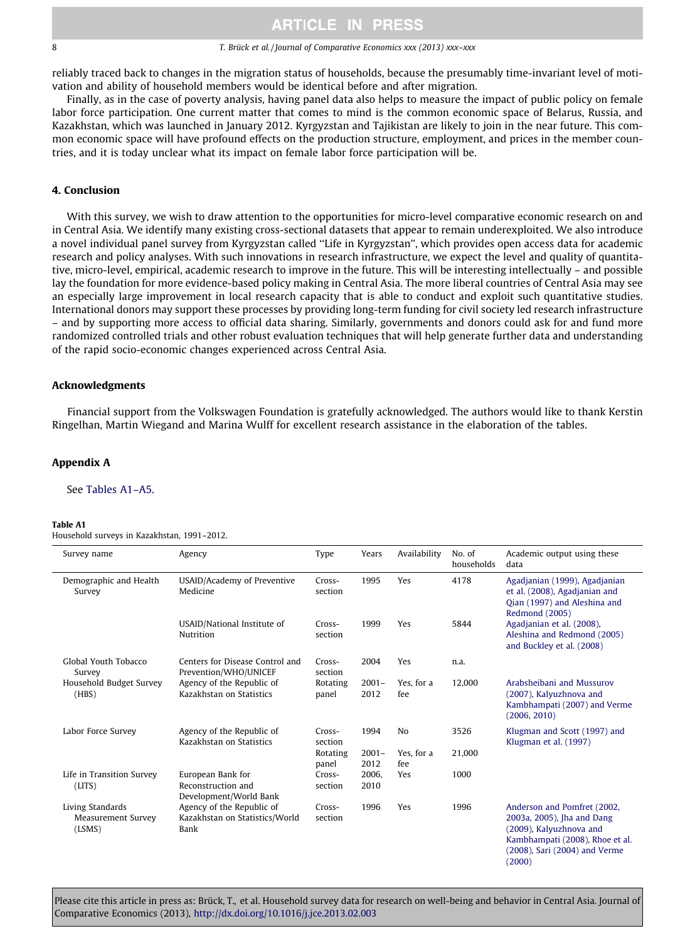### <span id="page-7-0"></span>8 T. Brück et al. / Journal of Comparative Economics xxx (2013) xxx–xxx

reliably traced back to changes in the migration status of households, because the presumably time-invariant level of motivation and ability of household members would be identical before and after migration.

Finally, as in the case of poverty analysis, having panel data also helps to measure the impact of public policy on female labor force participation. One current matter that comes to mind is the common economic space of Belarus, Russia, and Kazakhstan, which was launched in January 2012. Kyrgyzstan and Tajikistan are likely to join in the near future. This common economic space will have profound effects on the production structure, employment, and prices in the member countries, and it is today unclear what its impact on female labor force participation will be.

# 4. Conclusion

With this survey, we wish to draw attention to the opportunities for micro-level comparative economic research on and in Central Asia. We identify many existing cross-sectional datasets that appear to remain underexploited. We also introduce a novel individual panel survey from Kyrgyzstan called ''Life in Kyrgyzstan'', which provides open access data for academic research and policy analyses. With such innovations in research infrastructure, we expect the level and quality of quantitative, micro-level, empirical, academic research to improve in the future. This will be interesting intellectually – and possible lay the foundation for more evidence-based policy making in Central Asia. The more liberal countries of Central Asia may see an especially large improvement in local research capacity that is able to conduct and exploit such quantitative studies. International donors may support these processes by providing long-term funding for civil society led research infrastructure – and by supporting more access to official data sharing. Similarly, governments and donors could ask for and fund more randomized controlled trials and other robust evaluation techniques that will help generate further data and understanding of the rapid socio-economic changes experienced across Central Asia.

# Acknowledgments

Financial support from the Volkswagen Foundation is gratefully acknowledged. The authors would like to thank Kerstin Ringelhan, Martin Wiegand and Marina Wulff for excellent research assistance in the elaboration of the tables.

# Appendix A

See Tables A1–A5.

#### Table A1

Household surveys in Kazakhstan, 1991–2012.

| Survey name                                      | Agency                                                              | Type              | Years            | Availability      | No. of<br>households | Academic output using these<br>data                                                                                                                                |
|--------------------------------------------------|---------------------------------------------------------------------|-------------------|------------------|-------------------|----------------------|--------------------------------------------------------------------------------------------------------------------------------------------------------------------|
| Demographic and Health<br>Survey                 | USAID/Academy of Preventive<br>Medicine                             | Cross-<br>section | 1995             | Yes               | 4178                 | Agadjanian (1999), Agadjanian<br>et al. (2008), Agadjanian and<br>Qian (1997) and Aleshina and<br>Redmond (2005)                                                   |
|                                                  | USAID/National Institute of<br>Nutrition                            | Cross-<br>section | 1999             | Yes               | 5844                 | Agadianian et al. (2008).<br>Aleshina and Redmond (2005)<br>and Buckley et al. (2008)                                                                              |
| Global Youth Tobacco<br>Survey                   | Centers for Disease Control and<br>Prevention/WHO/UNICEF            | Cross-<br>section | 2004             | Yes               | n.a.                 |                                                                                                                                                                    |
| Household Budget Survey<br>(HBS)                 | Agency of the Republic of<br>Kazakhstan on Statistics               | Rotating<br>panel | $2001 -$<br>2012 | Yes, for a<br>fee | 12,000               | Arabsheibani and Mussurov<br>(2007), Kalyuzhnova and<br>Kambhampati (2007) and Verme<br>(2006, 2010)                                                               |
| Labor Force Survey                               | Agency of the Republic of<br>Kazakhstan on Statistics               | Cross-<br>section | 1994             | No                | 3526                 | Klugman and Scott (1997) and<br>Klugman et al. (1997)                                                                                                              |
|                                                  |                                                                     | Rotating<br>panel | $2001 -$<br>2012 | Yes, for a<br>fee | 21.000               |                                                                                                                                                                    |
| Life in Transition Survey<br>(LITS)              | European Bank for<br>Reconstruction and<br>Development/World Bank   | Cross-<br>section | 2006,<br>2010    | Yes               | 1000                 |                                                                                                                                                                    |
| Living Standards<br>Measurement Survey<br>(LSMS) | Agency of the Republic of<br>Kazakhstan on Statistics/World<br>Bank | Cross-<br>section | 1996             | Yes               | 1996                 | Anderson and Pomfret (2002,<br>2003a, 2005), Jha and Dang<br>(2009), Kalyuzhnova and<br>Kambhampati (2008), Rhoe et al.<br>(2008), Sari (2004) and Verme<br>(2000) |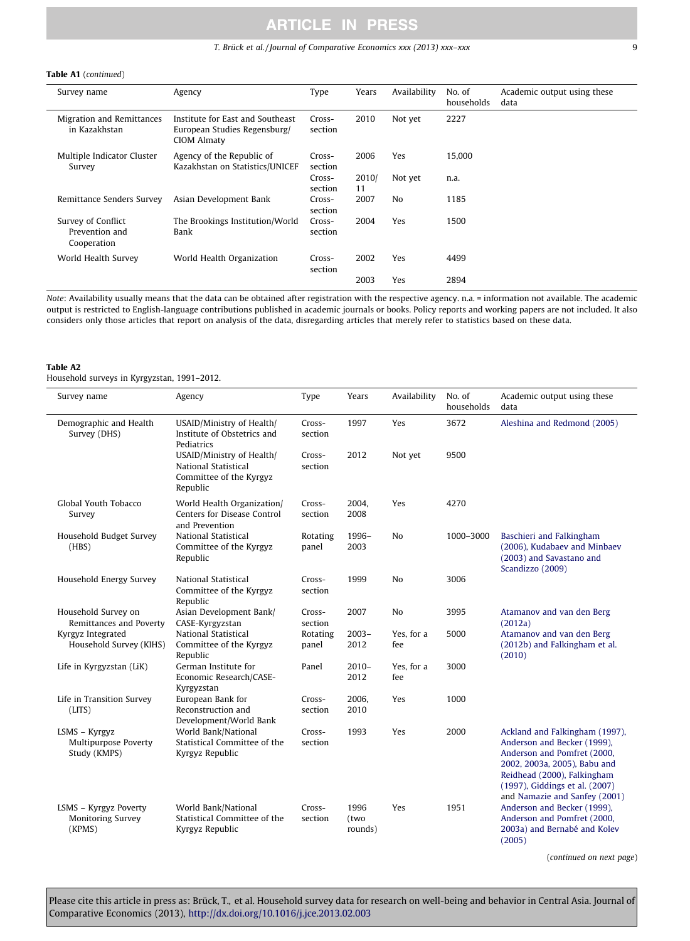## T. Brück et al. / Journal of Comparative Economics xxx (2013) xxx–xxx 9

#### Table A1 (continued)

| Survey name                                         | Agency                                                                          | Type              | Years       | Availability | No. of<br>households | Academic output using these<br>data |
|-----------------------------------------------------|---------------------------------------------------------------------------------|-------------------|-------------|--------------|----------------------|-------------------------------------|
| Migration and Remittances<br>in Kazakhstan          | Institute for East and Southeast<br>European Studies Regensburg/<br>CIOM Almaty | Cross-<br>section | 2010        | Not yet      | 2227                 |                                     |
| Multiple Indicator Cluster<br>Survey                | Agency of the Republic of<br>Kazakhstan on Statistics/UNICEF                    | Cross-<br>section | 2006        | Yes          | 15,000               |                                     |
|                                                     |                                                                                 | Cross-<br>section | 2010/<br>11 | Not yet      | n.a.                 |                                     |
| Remittance Senders Survey                           | Asian Development Bank                                                          | Cross-<br>section | 2007        | No           | 1185                 |                                     |
| Survey of Conflict<br>Prevention and<br>Cooperation | The Brookings Institution/World<br>Bank                                         | Cross-<br>section | 2004        | Yes          | 1500                 |                                     |
| World Health Survey                                 | World Health Organization                                                       | Cross-<br>section | 2002        | Yes          | 4499                 |                                     |
|                                                     |                                                                                 |                   | 2003        | Yes          | 2894                 |                                     |

Note: Availability usually means that the data can be obtained after registration with the respective agency. n.a. = information not available. The academic output is restricted to English-language contributions published in academic journals or books. Policy reports and working papers are not included. It also considers only those articles that report on analysis of the data, disregarding articles that merely refer to statistics based on these data.

#### Table A2

Household surveys in Kyrgyzstan, 1991–2012.

| Survey name                                                 | Agency                                                                                   | Type              | Years                   | Availability      | No. of<br>households | Academic output using these<br>data                                                                                                                                                                                            |
|-------------------------------------------------------------|------------------------------------------------------------------------------------------|-------------------|-------------------------|-------------------|----------------------|--------------------------------------------------------------------------------------------------------------------------------------------------------------------------------------------------------------------------------|
| Demographic and Health<br>Survey (DHS)                      | USAID/Ministry of Health/<br>Institute of Obstetrics and<br>Pediatrics                   | Cross-<br>section | 1997                    | Yes               | 3672                 | Aleshina and Redmond (2005)                                                                                                                                                                                                    |
|                                                             | USAID/Ministry of Health/<br>National Statistical<br>Committee of the Kyrgyz<br>Republic | Cross-<br>section | 2012                    | Not yet           | 9500                 |                                                                                                                                                                                                                                |
| Global Youth Tobacco<br>Survey                              | World Health Organization/<br>Centers for Disease Control<br>and Prevention              | Cross-<br>section | 2004,<br>2008           | Yes               | 4270                 |                                                                                                                                                                                                                                |
| Household Budget Survey<br>(HBS)                            | National Statistical<br>Committee of the Kyrgyz<br>Republic                              | Rotating<br>panel | 1996-<br>2003           | N <sub>o</sub>    | 1000-3000            | Baschieri and Falkingham<br>(2006), Kudabaev and Minbaev<br>(2003) and Savastano and<br>Scandizzo (2009)                                                                                                                       |
| Household Energy Survey                                     | National Statistical<br>Committee of the Kyrgyz<br>Republic                              | Cross-<br>section | 1999                    | N <sub>0</sub>    | 3006                 |                                                                                                                                                                                                                                |
| Household Survey on<br>Remittances and Poverty              | Asian Development Bank/<br>CASE-Kyrgyzstan                                               | Cross-<br>section | 2007                    | N <sub>o</sub>    | 3995                 | Atamanov and van den Berg<br>(2012a)                                                                                                                                                                                           |
| Kyrgyz Integrated<br>Household Survey (KIHS)                | National Statistical<br>Committee of the Kyrgyz<br>Republic                              | Rotating<br>panel | $2003 -$<br>2012        | Yes, for a<br>fee | 5000                 | Atamanov and van den Berg<br>(2012b) and Falkingham et al.<br>(2010)                                                                                                                                                           |
| Life in Kyrgyzstan (LiK)                                    | German Institute for<br>Economic Research/CASE-<br>Kyrgyzstan                            | Panel             | $2010 -$<br>2012        | Yes, for a<br>fee | 3000                 |                                                                                                                                                                                                                                |
| Life in Transition Survey<br>(LITS)                         | European Bank for<br>Reconstruction and<br>Development/World Bank                        | Cross-<br>section | 2006.<br>2010           | Yes               | 1000                 |                                                                                                                                                                                                                                |
| LSMS - Kyrgyz<br>Multipurpose Poverty<br>Study (KMPS)       | World Bank/National<br>Statistical Committee of the<br>Kyrgyz Republic                   | Cross-<br>section | 1993                    | Yes               | 2000                 | Ackland and Falkingham (1997),<br>Anderson and Becker (1999),<br>Anderson and Pomfret (2000,<br>2002, 2003a, 2005), Babu and<br>Reidhead (2000), Falkingham<br>(1997), Giddings et al. (2007)<br>and Namazie and Sanfey (2001) |
| LSMS - Kyrgyz Poverty<br><b>Monitoring Survey</b><br>(KPMS) | World Bank/National<br>Statistical Committee of the<br>Kyrgyz Republic                   | Cross-<br>section | 1996<br>(two<br>rounds) | Yes               | 1951                 | Anderson and Becker (1999),<br>Anderson and Pomfret (2000,<br>2003a) and Bernabé and Kolev<br>(2005)                                                                                                                           |

(continued on next page)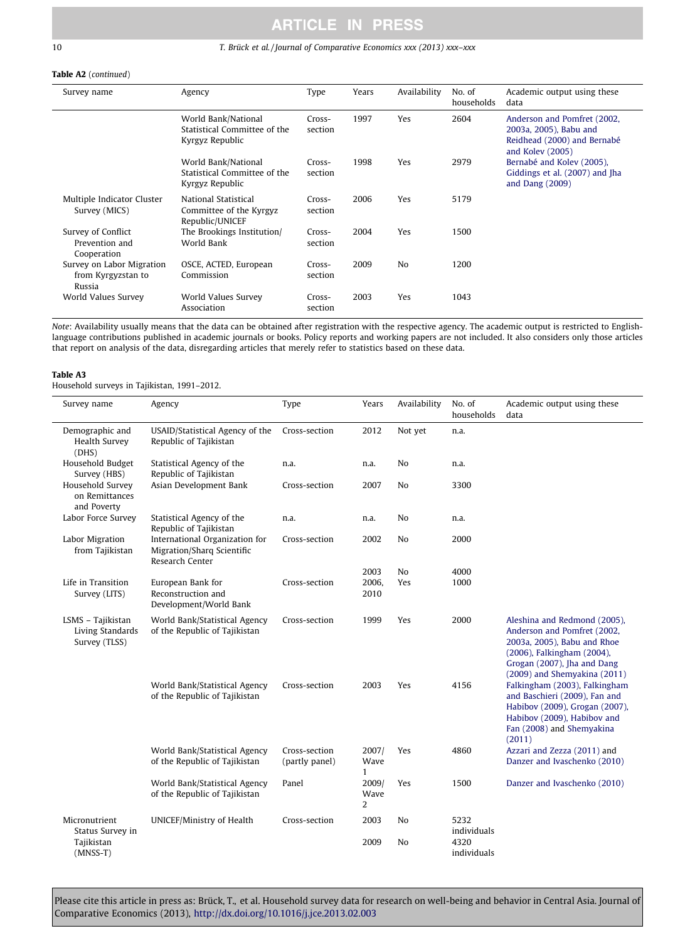# 10 T. Brück et al. / Journal of Comparative Economics xxx (2013) xxx–xxx

## Table A2 (continued)

| Survey name                                               | Agency                                                                 | Type              | Years | Availability   | No. of<br>households | Academic output using these<br>data                                                                        |
|-----------------------------------------------------------|------------------------------------------------------------------------|-------------------|-------|----------------|----------------------|------------------------------------------------------------------------------------------------------------|
|                                                           | World Bank/National<br>Statistical Committee of the<br>Kyrgyz Republic | Cross-<br>section | 1997  | Yes            | 2604                 | Anderson and Pomfret (2002,<br>2003a, 2005), Babu and<br>Reidhead (2000) and Bernabé<br>and Kolev $(2005)$ |
|                                                           | World Bank/National<br>Statistical Committee of the<br>Kyrgyz Republic | Cross-<br>section | 1998  | Yes            | 2979                 | Bernabé and Kolev (2005),<br>Giddings et al. (2007) and Jha<br>and Dang $(2009)$                           |
| Multiple Indicator Cluster<br>Survey (MICS)               | National Statistical<br>Committee of the Kyrgyz<br>Republic/UNICEF     | Cross-<br>section | 2006  | <b>Yes</b>     | 5179                 |                                                                                                            |
| Survey of Conflict<br>Prevention and<br>Cooperation       | The Brookings Institution/<br>World Bank                               | Cross-<br>section | 2004  | Yes            | 1500                 |                                                                                                            |
| Survey on Labor Migration<br>from Kyrgyzstan to<br>Russia | OSCE, ACTED, European<br>Commission                                    | Cross-<br>section | 2009  | N <sub>0</sub> | 1200                 |                                                                                                            |
| World Values Survey                                       | World Values Survey<br>Association                                     | Cross-<br>section | 2003  | Yes            | 1043                 |                                                                                                            |

Note: Availability usually means that the data can be obtained after registration with the respective agency. The academic output is restricted to Englishlanguage contributions published in academic journals or books. Policy reports and working papers are not included. It also considers only those articles that report on analysis of the data, disregarding articles that merely refer to statistics based on these data.

# Table A3

Household surveys in Tajikistan, 1991–2012.

| Survey name                                            | Agency                                                                          | Type                            | Years                         | Availability | No. of<br>households | Academic output using these<br>data                                                                                                                                                         |
|--------------------------------------------------------|---------------------------------------------------------------------------------|---------------------------------|-------------------------------|--------------|----------------------|---------------------------------------------------------------------------------------------------------------------------------------------------------------------------------------------|
| Demographic and<br>Health Survey<br>(DHS)              | USAID/Statistical Agency of the<br>Republic of Tajikistan                       | Cross-section                   | 2012                          | Not yet      | n.a.                 |                                                                                                                                                                                             |
| Household Budget<br>Survey (HBS)                       | Statistical Agency of the<br>Republic of Tajikistan                             | n.a.                            | n.a.                          | No           | n.a.                 |                                                                                                                                                                                             |
| Household Survey<br>on Remittances<br>and Poverty      | Asian Development Bank                                                          | Cross-section                   | 2007                          | No           | 3300                 |                                                                                                                                                                                             |
| Labor Force Survey                                     | Statistical Agency of the<br>Republic of Tajikistan                             | n.a.                            | n.a.                          | No           | n.a.                 |                                                                                                                                                                                             |
| Labor Migration<br>from Tajikistan                     | International Organization for<br>Migration/Sharq Scientific<br>Research Center | Cross-section                   | 2002                          | No           | 2000                 |                                                                                                                                                                                             |
|                                                        |                                                                                 |                                 | 2003                          | No           | 4000                 |                                                                                                                                                                                             |
| Life in Transition<br>Survey (LITS)                    | European Bank for<br>Reconstruction and<br>Development/World Bank               | Cross-section                   | 2006,<br>2010                 | Yes          | 1000                 |                                                                                                                                                                                             |
| LSMS - Tajikistan<br>Living Standards<br>Survey (TLSS) | World Bank/Statistical Agency<br>of the Republic of Tajikistan                  | Cross-section                   | 1999                          | Yes          | 2000                 | Aleshina and Redmond (2005),<br>Anderson and Pomfret (2002,<br>2003a, 2005), Babu and Rhoe<br>(2006), Falkingham (2004),<br>Grogan (2007), Jha and Dang<br>$(2009)$ and Shemyakina $(2011)$ |
|                                                        | World Bank/Statistical Agency<br>of the Republic of Tajikistan                  | Cross-section                   | 2003                          | Yes          | 4156                 | Falkingham (2003), Falkingham<br>and Baschieri (2009), Fan and<br>Habibov (2009), Grogan (2007),<br>Habibov (2009), Habibov and<br>Fan (2008) and Shemyakina<br>(2011)                      |
|                                                        | World Bank/Statistical Agency<br>of the Republic of Tajikistan                  | Cross-section<br>(partly panel) | 2007/<br>Wave<br>$\mathbf{1}$ | Yes          | 4860                 | Azzari and Zezza (2011) and<br>Danzer and Ivaschenko (2010)                                                                                                                                 |
|                                                        | World Bank/Statistical Agency<br>of the Republic of Tajikistan                  | Panel                           | 2009/<br>Wave<br>2            | Yes          | 1500                 | Danzer and Ivaschenko (2010)                                                                                                                                                                |
| Micronutrient<br>Status Survey in                      | <b>UNICEF/Ministry of Health</b>                                                | Cross-section                   | 2003                          | No           | 5232<br>individuals  |                                                                                                                                                                                             |
| Tajikistan<br>$(MNSS-T)$                               |                                                                                 |                                 | 2009                          | No           | 4320<br>individuals  |                                                                                                                                                                                             |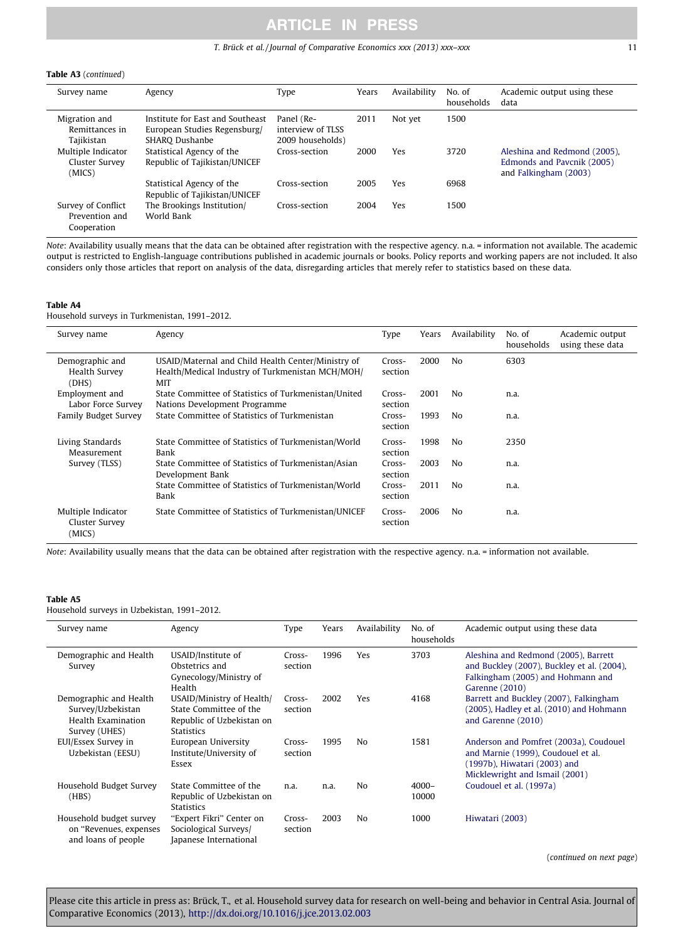# T. Brück et al. / Journal of Comparative Economics xxx (2013) xxx–xxx 11

#### Table A3 (continued)

| Survey name                                         | Agency                                                                             | Type                                                | Years | Availability | No. of<br>households | Academic output using these<br>data                                                 |
|-----------------------------------------------------|------------------------------------------------------------------------------------|-----------------------------------------------------|-------|--------------|----------------------|-------------------------------------------------------------------------------------|
| Migration and<br>Remittances in<br>Tajikistan       | Institute for East and Southeast<br>European Studies Regensburg/<br>SHARO Dushanbe | Panel (Re-<br>interview of TLSS<br>2009 households) | 2011  | Not yet      | 1500                 |                                                                                     |
| Multiple Indicator<br>Cluster Survey<br>(MICS)      | Statistical Agency of the<br>Republic of Tajikistan/UNICEF                         | Cross-section                                       | 2000  | Yes          | 3720                 | Aleshina and Redmond (2005).<br>Edmonds and Pavcnik (2005)<br>and Falkingham (2003) |
|                                                     | Statistical Agency of the<br>Republic of Tajikistan/UNICEF                         | Cross-section                                       | 2005  | Yes          | 6968                 |                                                                                     |
| Survey of Conflict<br>Prevention and<br>Cooperation | The Brookings Institution/<br>World Bank                                           | Cross-section                                       | 2004  | Yes          | 1500                 |                                                                                     |

Note: Availability usually means that the data can be obtained after registration with the respective agency. n.a. = information not available. The academic output is restricted to English-language contributions published in academic journals or books. Policy reports and working papers are not included. It also considers only those articles that report on analysis of the data, disregarding articles that merely refer to statistics based on these data.

### Table A4

Household surveys in Turkmenistan, 1991–2012.

| Survey name                                    | Agency                                                                                                        | Type              | Years | Availability | No. of<br>households | Academic output<br>using these data |
|------------------------------------------------|---------------------------------------------------------------------------------------------------------------|-------------------|-------|--------------|----------------------|-------------------------------------|
| Demographic and<br>Health Survey<br>(DHS)      | USAID/Maternal and Child Health Center/Ministry of<br>Health/Medical Industry of Turkmenistan MCH/MOH/<br>MIT | Cross-<br>section | 2000  | No           | 6303                 |                                     |
| Employment and<br>Labor Force Survey           | State Committee of Statistics of Turkmenistan/United<br>Nations Development Programme                         | Cross-<br>section | 2001  | No           | n.a.                 |                                     |
| Family Budget Survey                           | State Committee of Statistics of Turkmenistan                                                                 | Cross-<br>section | 1993  | No           | n.a.                 |                                     |
| Living Standards<br>Measurement                | State Committee of Statistics of Turkmenistan/World<br>Bank                                                   | Cross-<br>section | 1998  | No.          | 2350                 |                                     |
| Survey (TLSS)                                  | State Committee of Statistics of Turkmenistan/Asian<br>Development Bank                                       | Cross-<br>section | 2003  | No           | n.a.                 |                                     |
|                                                | State Committee of Statistics of Turkmenistan/World<br>Bank                                                   | Cross-<br>section | 2011  | No.          | n.a.                 |                                     |
| Multiple Indicator<br>Cluster Survey<br>(MICS) | State Committee of Statistics of Turkmenistan/UNICEF                                                          | Cross-<br>section | 2006  | No.          | n.a.                 |                                     |

Note: Availability usually means that the data can be obtained after registration with the respective agency. n.a. = information not available.

## Table A5

Household surveys in Uzbekistan, 1991–2012.

| Survey name                                                                        | Agency                                                                                                | Type              | Years | Availability   | No. of<br>households | Academic output using these data                                                                                                               |
|------------------------------------------------------------------------------------|-------------------------------------------------------------------------------------------------------|-------------------|-------|----------------|----------------------|------------------------------------------------------------------------------------------------------------------------------------------------|
| Demographic and Health<br>Survey                                                   | USAID/Institute of<br>Obstetrics and<br>Gynecology/Ministry of<br>Health                              | Cross-<br>section | 1996  | Yes            | 3703                 | Aleshina and Redmond (2005), Barrett<br>and Buckley (2007), Buckley et al. (2004),<br>Falkingham (2005) and Hohmann and<br>Garenne (2010)      |
| Demographic and Health<br>Survey/Uzbekistan<br>Health Examination<br>Survey (UHES) | USAID/Ministry of Health/<br>State Committee of the<br>Republic of Uzbekistan on<br><b>Statistics</b> | Cross-<br>section | 2002  | Yes            | 4168                 | Barrett and Buckley (2007), Falkingham<br>(2005), Hadley et al. (2010) and Hohmann<br>and Garenne (2010)                                       |
| EUI/Essex Survey in<br>Uzbekistan (EESU)                                           | European University<br>Institute/University of<br>Essex                                               | Cross-<br>section | 1995  | No             | 1581                 | Anderson and Pomfret (2003a), Coudouel<br>and Marnie (1999), Coudouel et al.<br>(1997b), Hiwatari (2003) and<br>Micklewright and Ismail (2001) |
| Household Budget Survey<br>(HBS)                                                   | State Committee of the<br>Republic of Uzbekistan on<br><b>Statistics</b>                              | n.a.              | n.a.  | N <sub>0</sub> | $4000 -$<br>10000    | Coudouel et al. (1997a)                                                                                                                        |
| Household budget survey<br>on "Revenues, expenses<br>and loans of people           | "Expert Fikri" Center on<br>Sociological Surveys/<br>Japanese International                           | Cross-<br>section | 2003  | No             | 1000                 | Hiwatari (2003)                                                                                                                                |

(continued on next page)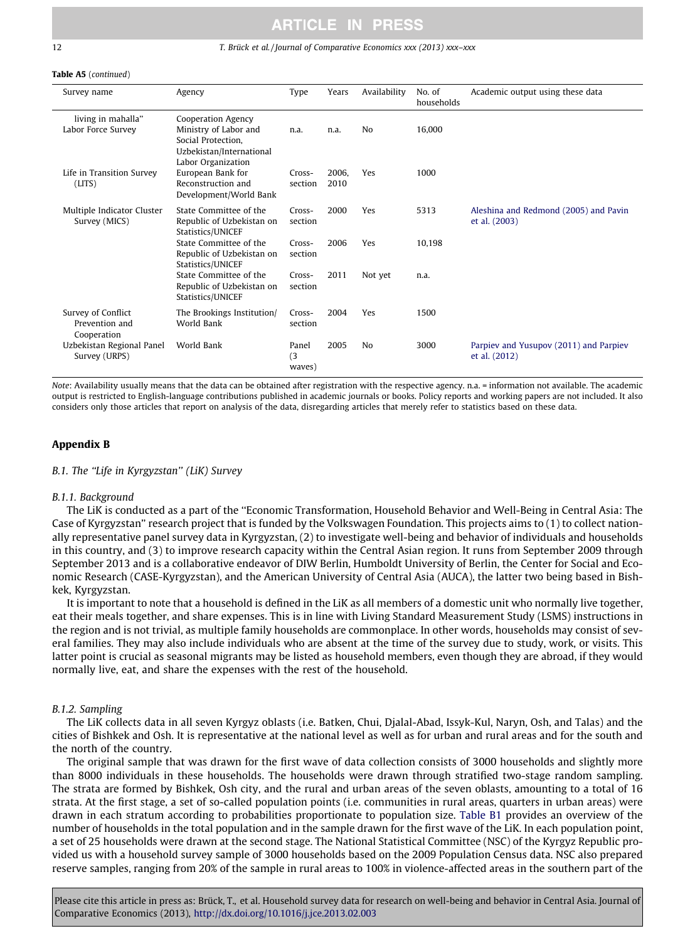#### 12 T. Brück et al. / Journal of Comparative Economics xxx (2013) xxx–xxx

#### Table A5 (continued)

| Survey name                                         | Agency                                                                                                              | Type                   | Years         | Availability   | No. of<br>households | Academic output using these data                        |
|-----------------------------------------------------|---------------------------------------------------------------------------------------------------------------------|------------------------|---------------|----------------|----------------------|---------------------------------------------------------|
| living in mahalla"<br>Labor Force Survey            | Cooperation Agency<br>Ministry of Labor and<br>Social Protection.<br>Uzbekistan/International<br>Labor Organization | n.a.                   | n.a.          | N <sub>0</sub> | 16,000               |                                                         |
| Life in Transition Survey<br>(LITS)                 | European Bank for<br>Reconstruction and<br>Development/World Bank                                                   | Cross-<br>section      | 2006,<br>2010 | Yes            | 1000                 |                                                         |
| Multiple Indicator Cluster<br>Survey (MICS)         | State Committee of the<br>Republic of Uzbekistan on<br>Statistics/UNICEF                                            | Cross-<br>section      | 2000          | Yes            | 5313                 | Aleshina and Redmond (2005) and Pavin<br>et al. (2003)  |
|                                                     | State Committee of the<br>Republic of Uzbekistan on<br>Statistics/UNICEF                                            | Cross-<br>section      | 2006          | Yes            | 10.198               |                                                         |
|                                                     | State Committee of the<br>Republic of Uzbekistan on<br>Statistics/UNICEF                                            | Cross-<br>section      | 2011          | Not yet        | n.a.                 |                                                         |
| Survey of Conflict<br>Prevention and<br>Cooperation | The Brookings Institution/<br>World Bank                                                                            | Cross-<br>section      | 2004          | Yes            | 1500                 |                                                         |
| Uzbekistan Regional Panel<br>Survey (URPS)          | World Bank                                                                                                          | Panel<br>(3)<br>waves) | 2005          | No             | 3000                 | Parpiev and Yusupov (2011) and Parpiev<br>et al. (2012) |

Note: Availability usually means that the data can be obtained after registration with the respective agency. n.a. = information not available. The academic output is restricted to English-language contributions published in academic journals or books. Policy reports and working papers are not included. It also considers only those articles that report on analysis of the data, disregarding articles that merely refer to statistics based on these data.

# Appendix B

## B.1. The ''Life in Kyrgyzstan'' (LiK) Survey

#### B.1.1. Background

The LiK is conducted as a part of the ''Economic Transformation, Household Behavior and Well-Being in Central Asia: The Case of Kyrgyzstan'' research project that is funded by the Volkswagen Foundation. This projects aims to (1) to collect nationally representative panel survey data in Kyrgyzstan, (2) to investigate well-being and behavior of individuals and households in this country, and (3) to improve research capacity within the Central Asian region. It runs from September 2009 through September 2013 and is a collaborative endeavor of DIW Berlin, Humboldt University of Berlin, the Center for Social and Economic Research (CASE-Kyrgyzstan), and the American University of Central Asia (AUCA), the latter two being based in Bishkek, Kyrgyzstan.

It is important to note that a household is defined in the LiK as all members of a domestic unit who normally live together, eat their meals together, and share expenses. This is in line with Living Standard Measurement Study (LSMS) instructions in the region and is not trivial, as multiple family households are commonplace. In other words, households may consist of several families. They may also include individuals who are absent at the time of the survey due to study, work, or visits. This latter point is crucial as seasonal migrants may be listed as household members, even though they are abroad, if they would normally live, eat, and share the expenses with the rest of the household.

# B.1.2. Sampling

The LiK collects data in all seven Kyrgyz oblasts (i.e. Batken, Chui, Djalal-Abad, Issyk-Kul, Naryn, Osh, and Talas) and the cities of Bishkek and Osh. It is representative at the national level as well as for urban and rural areas and for the south and the north of the country.

The original sample that was drawn for the first wave of data collection consists of 3000 households and slightly more than 8000 individuals in these households. The households were drawn through stratified two-stage random sampling. The strata are formed by Bishkek, Osh city, and the rural and urban areas of the seven oblasts, amounting to a total of 16 strata. At the first stage, a set of so-called population points (i.e. communities in rural areas, quarters in urban areas) were drawn in each stratum according to probabilities proportionate to population size. [Table B1](#page-12-0) provides an overview of the number of households in the total population and in the sample drawn for the first wave of the LiK. In each population point, a set of 25 households were drawn at the second stage. The National Statistical Committee (NSC) of the Kyrgyz Republic provided us with a household survey sample of 3000 households based on the 2009 Population Census data. NSC also prepared reserve samples, ranging from 20% of the sample in rural areas to 100% in violence-affected areas in the southern part of the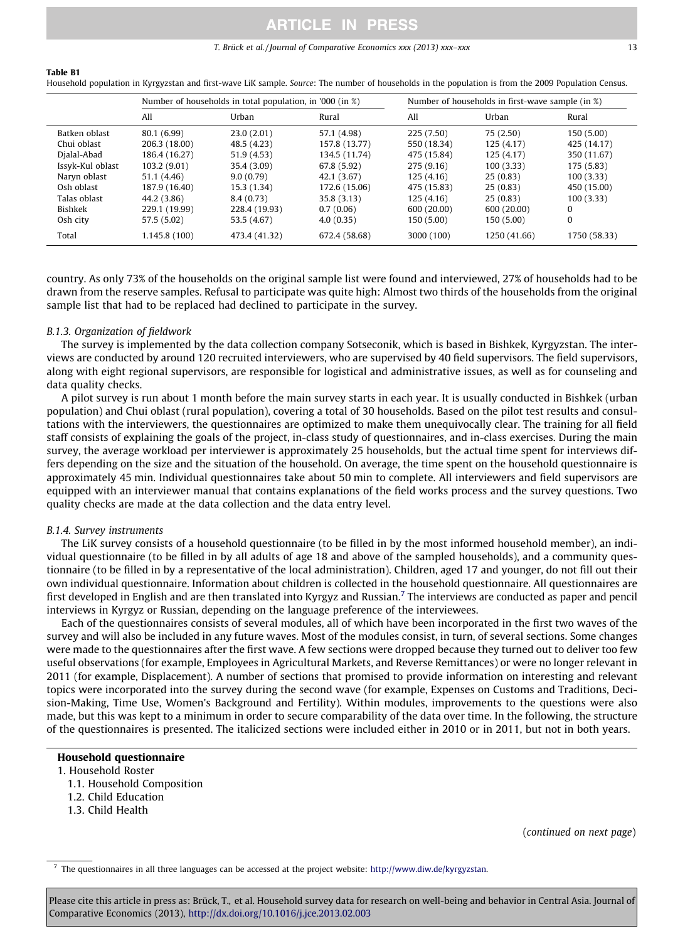#### T. Brück et al./*Journal of Comparative Economics xxx* (2013) xxx–xxx 13

### <span id="page-12-0"></span>Table B1

Household population in Kyrgyzstan and first-wave LiK sample. Source: The number of households in the population is from the 2009 Population Census.

|                  |               | Number of households in total population, in '000 (in %) |               | Number of households in first-wave sample (in %) |              |              |  |
|------------------|---------------|----------------------------------------------------------|---------------|--------------------------------------------------|--------------|--------------|--|
|                  | All           | Urban                                                    | Rural         | All                                              | Urban        | Rural        |  |
| Batken oblast    | 80.1 (6.99)   | 23.0(2.01)                                               | 57.1 (4.98)   | 225(7.50)                                        | 75(2.50)     | 150(5.00)    |  |
| Chui oblast      | 206.3 (18.00) | 48.5 (4.23)                                              | 157.8 (13.77) | 550 (18.34)                                      | 125(4.17)    | 425 (14.17)  |  |
| Dialal-Abad      | 186.4 (16.27) | 51.9 (4.53)                                              | 134.5 (11.74) | 475 (15.84)                                      | 125(4.17)    | 350 (11.67)  |  |
| Issyk-Kul oblast | 103.2 (9.01)  | 35.4 (3.09)                                              | 67.8 (5.92)   | 275 (9.16)                                       | 100(3.33)    | 175 (5.83)   |  |
| Naryn oblast     | 51.1 (4.46)   | 9.0(0.79)                                                | 42.1 (3.67)   | 125 (4.16)                                       | 25(0.83)     | 100(3.33)    |  |
| Osh oblast       | 187.9 (16.40) | 15.3 (1.34)                                              | 172.6 (15.06) | 475 (15.83)                                      | 25(0.83)     | 450 (15.00)  |  |
| Talas oblast     | 44.2 (3.86)   | 8.4(0.73)                                                | 35.8 (3.13)   | 125(4.16)                                        | 25(0.83)     | 100(3.33)    |  |
| Bishkek          | 229.1 (19.99) | 228.4 (19.93)                                            | 0.7(0.06)     | 600 (20.00)                                      | 600 (20.00)  | $\Omega$     |  |
| Osh city         | 57.5 (5.02)   | 53.5 (4.67)                                              | 4.0(0.35)     | 150 (5.00)                                       | 150 (5.00)   | $\bf{0}$     |  |
| Total            | 1.145.8 (100) | 473.4 (41.32)                                            | 672.4 (58.68) | 3000 (100)                                       | 1250 (41.66) | 1750 (58.33) |  |

country. As only 73% of the households on the original sample list were found and interviewed, 27% of households had to be drawn from the reserve samples. Refusal to participate was quite high: Almost two thirds of the households from the original sample list that had to be replaced had declined to participate in the survey.

#### B.1.3. Organization of fieldwork

The survey is implemented by the data collection company Sotseconik, which is based in Bishkek, Kyrgyzstan. The interviews are conducted by around 120 recruited interviewers, who are supervised by 40 field supervisors. The field supervisors, along with eight regional supervisors, are responsible for logistical and administrative issues, as well as for counseling and data quality checks.

A pilot survey is run about 1 month before the main survey starts in each year. It is usually conducted in Bishkek (urban population) and Chui oblast (rural population), covering a total of 30 households. Based on the pilot test results and consultations with the interviewers, the questionnaires are optimized to make them unequivocally clear. The training for all field staff consists of explaining the goals of the project, in-class study of questionnaires, and in-class exercises. During the main survey, the average workload per interviewer is approximately 25 households, but the actual time spent for interviews differs depending on the size and the situation of the household. On average, the time spent on the household questionnaire is approximately 45 min. Individual questionnaires take about 50 min to complete. All interviewers and field supervisors are equipped with an interviewer manual that contains explanations of the field works process and the survey questions. Two quality checks are made at the data collection and the data entry level.

# B.1.4. Survey instruments

The LiK survey consists of a household questionnaire (to be filled in by the most informed household member), an individual questionnaire (to be filled in by all adults of age 18 and above of the sampled households), and a community questionnaire (to be filled in by a representative of the local administration). Children, aged 17 and younger, do not fill out their own individual questionnaire. Information about children is collected in the household questionnaire. All questionnaires are first developed in English and are then translated into Kyrgyz and Russian.<sup>7</sup> The interviews are conducted as paper and pencil interviews in Kyrgyz or Russian, depending on the language preference of the interviewees.

Each of the questionnaires consists of several modules, all of which have been incorporated in the first two waves of the survey and will also be included in any future waves. Most of the modules consist, in turn, of several sections. Some changes were made to the questionnaires after the first wave. A few sections were dropped because they turned out to deliver too few useful observations (for example, Employees in Agricultural Markets, and Reverse Remittances) or were no longer relevant in 2011 (for example, Displacement). A number of sections that promised to provide information on interesting and relevant topics were incorporated into the survey during the second wave (for example, Expenses on Customs and Traditions, Decision-Making, Time Use, Women's Background and Fertility). Within modules, improvements to the questions were also made, but this was kept to a minimum in order to secure comparability of the data over time. In the following, the structure of the questionnaires is presented. The italicized sections were included either in 2010 or in 2011, but not in both years.

# Household questionnaire

- 1. Household Roster
	- 1.1. Household Composition
	- 1.2. Child Education
	- 1.3. Child Health

(continued on next page)

 $<sup>7</sup>$  The questionnaires in all three languages can be accessed at the project website: [http://www.diw.de/kyrgyzstan.](http://www.diw.de/kyrgyzstan)</sup>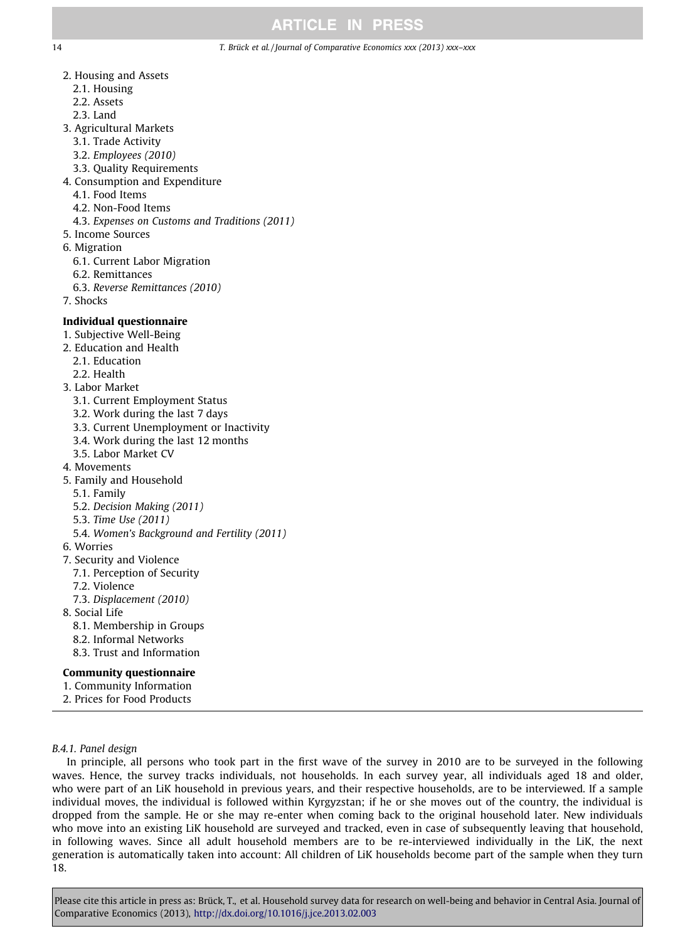## 14 T. Brück et al. / Journal of Comparative Economics xxx (2013) xxx–xxx

- - 2. Housing and Assets
		- 2.1. Housing
		- 2.2. Assets
		- 2.3. Land
	- 3. Agricultural Markets
		- 3.1. Trade Activity
		- 3.2. Employees (2010)
		- 3.3. Quality Requirements
	- 4. Consumption and Expenditure
		- 4.1. Food Items
		- 4.2. Non-Food Items
		- 4.3. Expenses on Customs and Traditions (2011)
	- 5. Income Sources
	- 6. Migration
		- 6.1. Current Labor Migration
		- 6.2. Remittances
		- 6.3. Reverse Remittances (2010)
	- 7. Shocks

# Individual questionnaire

- 1. Subjective Well-Being
- 2. Education and Health
	- 2.1. Education
	- 2.2. Health
- 3. Labor Market
	- 3.1. Current Employment Status
	- 3.2. Work during the last 7 days
	- 3.3. Current Unemployment or Inactivity
	- 3.4. Work during the last 12 months
	- 3.5. Labor Market CV
- 4. Movements
- 5. Family and Household
	- 5.1. Family
	- 5.2. Decision Making (2011)
	- 5.3. Time Use (2011)
	- 5.4. Women's Background and Fertility (2011)
- 6. Worries
- 7. Security and Violence
	- 7.1. Perception of Security
- 7.2. Violence
- 7.3. Displacement (2010)
- 8. Social Life
	- 8.1. Membership in Groups
	- 8.2. Informal Networks
	- 8.3. Trust and Information

# Community questionnaire

- 1. Community Information
- 2. Prices for Food Products

# B.4.1. Panel design

In principle, all persons who took part in the first wave of the survey in 2010 are to be surveyed in the following waves. Hence, the survey tracks individuals, not households. In each survey year, all individuals aged 18 and older, who were part of an LiK household in previous years, and their respective households, are to be interviewed. If a sample individual moves, the individual is followed within Kyrgyzstan; if he or she moves out of the country, the individual is dropped from the sample. He or she may re-enter when coming back to the original household later. New individuals who move into an existing LiK household are surveyed and tracked, even in case of subsequently leaving that household, in following waves. Since all adult household members are to be re-interviewed individually in the LiK, the next generation is automatically taken into account: All children of LiK households become part of the sample when they turn 18.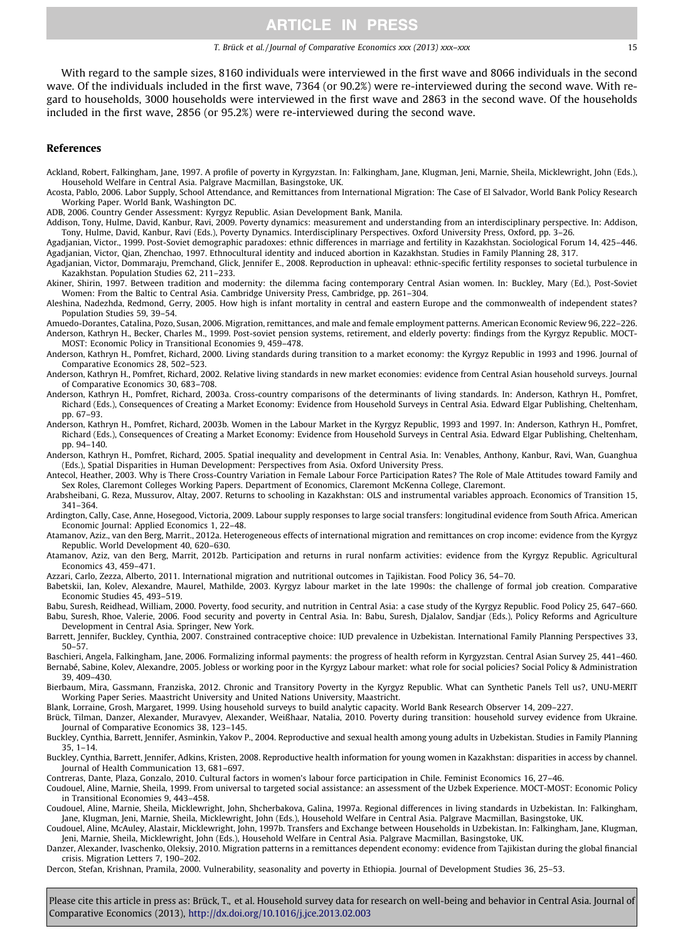<span id="page-14-0"></span>With regard to the sample sizes, 8160 individuals were interviewed in the first wave and 8066 individuals in the second wave. Of the individuals included in the first wave, 7364 (or 90.2%) were re-interviewed during the second wave. With regard to households, 3000 households were interviewed in the first wave and 2863 in the second wave. Of the households included in the first wave, 2856 (or 95.2%) were re-interviewed during the second wave.

#### References

- Ackland, Robert, Falkingham, Jane, 1997. A profile of poverty in Kyrgyzstan. In: Falkingham, Jane, Klugman, Jeni, Marnie, Sheila, Micklewright, John (Eds.), Household Welfare in Central Asia. Palgrave Macmillan, Basingstoke, UK.
- Acosta, Pablo, 2006. Labor Supply, School Attendance, and Remittances from International Migration: The Case of El Salvador, World Bank Policy Research Working Paper. World Bank, Washington DC.

ADB, 2006. Country Gender Assessment: Kyrgyz Republic. Asian Development Bank, Manila.

Addison, Tony, Hulme, David, Kanbur, Ravi, 2009. Poverty dynamics: measurement and understanding from an interdisciplinary perspective. In: Addison, Tony, Hulme, David, Kanbur, Ravi (Eds.), Poverty Dynamics. Interdisciplinary Perspectives. Oxford University Press, Oxford, pp. 3–26.

- Agadjanian, Victor., 1999. Post-Soviet demographic paradoxes: ethnic differences in marriage and fertility in Kazakhstan. Sociological Forum 14, 425–446. Agadjanian, Victor, Qian, Zhenchao, 1997. Ethnocultural identity and induced abortion in Kazakhstan. Studies in Family Planning 28, 317.
- Agadjanian, Victor, Dommaraju, Premchand, Glick, Jennifer E., 2008. Reproduction in upheaval: ethnic-specific fertility responses to societal turbulence in Kazakhstan. Population Studies 62, 211–233.
- Akiner, Shirin, 1997. Between tradition and modernity: the dilemma facing contemporary Central Asian women. In: Buckley, Mary (Ed.), Post-Soviet Women: From the Baltic to Central Asia. Cambridge University Press, Cambridge, pp. 261–304.
- Aleshina, Nadezhda, Redmond, Gerry, 2005. How high is infant mortality in central and eastern Europe and the commonwealth of independent states? Population Studies 59, 39–54.
- Amuedo-Dorantes, Catalina, Pozo, Susan, 2006. Migration, remittances, and male and female employment patterns. American Economic Review 96, 222–226. Anderson, Kathryn H., Becker, Charles M., 1999. Post-soviet pension systems, retirement, and elderly poverty: findings from the Kyrgyz Republic. MOCT-
- MOST: Economic Policy in Transitional Economies 9, 459–478. Anderson, Kathryn H., Pomfret, Richard, 2000. Living standards during transition to a market economy: the Kyrgyz Republic in 1993 and 1996. Journal of Comparative Economics 28, 502–523.
- Anderson, Kathryn H., Pomfret, Richard, 2002. Relative living standards in new market economies: evidence from Central Asian household surveys. Journal of Comparative Economics 30, 683–708.
- Anderson, Kathryn H., Pomfret, Richard, 2003a. Cross-country comparisons of the determinants of living standards. In: Anderson, Kathryn H., Pomfret, Richard (Eds.), Consequences of Creating a Market Economy: Evidence from Household Surveys in Central Asia. Edward Elgar Publishing, Cheltenham, pp. 67–93.
- Anderson, Kathryn H., Pomfret, Richard, 2003b. Women in the Labour Market in the Kyrgyz Republic, 1993 and 1997. In: Anderson, Kathryn H., Pomfret, Richard (Eds.), Consequences of Creating a Market Economy: Evidence from Household Surveys in Central Asia. Edward Elgar Publishing, Cheltenham, pp. 94–140.
- Anderson, Kathryn H., Pomfret, Richard, 2005. Spatial inequality and development in Central Asia. In: Venables, Anthony, Kanbur, Ravi, Wan, Guanghua (Eds.), Spatial Disparities in Human Development: Perspectives from Asia. Oxford University Press.
- Antecol, Heather, 2003. Why is There Cross-Country Variation in Female Labour Force Participation Rates? The Role of Male Attitudes toward Family and Sex Roles, Claremont Colleges Working Papers. Department of Economics, Claremont McKenna College, Claremont.
- Arabsheibani, G. Reza, Mussurov, Altay, 2007. Returns to schooling in Kazakhstan: OLS and instrumental variables approach. Economics of Transition 15, 341–364.
- Ardington, Cally, Case, Anne, Hosegood, Victoria, 2009. Labour supply responses to large social transfers: longitudinal evidence from South Africa. American Economic Journal: Applied Economics 1, 22–48.
- Atamanov, Aziz., van den Berg, Marrit., 2012a. Heterogeneous effects of international migration and remittances on crop income: evidence from the Kyrgyz Republic. World Development 40, 620–630.
- Atamanov, Aziz, van den Berg, Marrit, 2012b. Participation and returns in rural nonfarm activities: evidence from the Kyrgyz Republic. Agricultural Economics 43, 459–471.
- Azzari, Carlo, Zezza, Alberto, 2011. International migration and nutritional outcomes in Tajikistan. Food Policy 36, 54–70.
- Babetskii, Ian, Kolev, Alexandre, Maurel, Mathilde, 2003. Kyrgyz labour market in the late 1990s: the challenge of formal job creation. Comparative Economic Studies 45, 493–519.
- Babu, Suresh, Reidhead, William, 2000. Poverty, food security, and nutrition in Central Asia: a case study of the Kyrgyz Republic. Food Policy 25, 647–660. Babu, Suresh, Rhoe, Valerie, 2006. Food security and poverty in Central Asia. In: Babu, Suresh, Djalalov, Sandjar (Eds.), Policy Reforms and Agriculture Development in Central Asia. Springer, New York.
- Barrett, Jennifer, Buckley, Cynthia, 2007. Constrained contraceptive choice: IUD prevalence in Uzbekistan. International Family Planning Perspectives 33, 50–57.
- Baschieri, Angela, Falkingham, Jane, 2006. Formalizing informal payments: the progress of health reform in Kyrgyzstan. Central Asian Survey 25, 441–460. Bernabé, Sabine, Kolev, Alexandre, 2005. Jobless or working poor in the Kyrgyz Labour market: what role for social policies? Social Policy & Administration 39, 409–430.
- Bierbaum, Mira, Gassmann, Franziska, 2012. Chronic and Transitory Poverty in the Kyrgyz Republic. What can Synthetic Panels Tell us?, UNU-MERIT Working Paper Series. Maastricht University and United Nations University, Maastricht.
- Blank, Lorraine, Grosh, Margaret, 1999. Using household surveys to build analytic capacity. World Bank Research Observer 14, 209–227.
- Brück, Tilman, Danzer, Alexander, Muravyev, Alexander, Weißhaar, Natalia, 2010. Poverty during transition: household survey evidence from Ukraine. Journal of Comparative Economics 38, 123–145.
- Buckley, Cynthia, Barrett, Jennifer, Asminkin, Yakov P., 2004. Reproductive and sexual health among young adults in Uzbekistan. Studies in Family Planning 35, 1–14.
- Buckley, Cynthia, Barrett, Jennifer, Adkins, Kristen, 2008. Reproductive health information for young women in Kazakhstan: disparities in access by channel. Journal of Health Communication 13, 681–697.
- Contreras, Dante, Plaza, Gonzalo, 2010. Cultural factors in women's labour force participation in Chile. Feminist Economics 16, 27–46.
- Coudouel, Aline, Marnie, Sheila, 1999. From universal to targeted social assistance: an assessment of the Uzbek Experience. MOCT-MOST: Economic Policy in Transitional Economies 9, 443–458.
- Coudouel, Aline, Marnie, Sheila, Micklewright, John, Shcherbakova, Galina, 1997a. Regional differences in living standards in Uzbekistan. In: Falkingham, Jane, Klugman, Jeni, Marnie, Sheila, Micklewright, John (Eds.), Household Welfare in Central Asia. Palgrave Macmillan, Basingstoke, UK.
- Coudouel, Aline, McAuley, Alastair, Micklewright, John, 1997b. Transfers and Exchange between Households in Uzbekistan. In: Falkingham, Jane, Klugman, Jeni, Marnie, Sheila, Micklewright, John (Eds.), Household Welfare in Central Asia. Palgrave Macmillan, Basingstoke, UK.
- Danzer, Alexander, Ivaschenko, Oleksiy, 2010. Migration patterns in a remittances dependent economy: evidence from Tajikistan during the global financial crisis. Migration Letters 7, 190–202.

Dercon, Stefan, Krishnan, Pramila, 2000. Vulnerability, seasonality and poverty in Ethiopia. Journal of Development Studies 36, 25–53.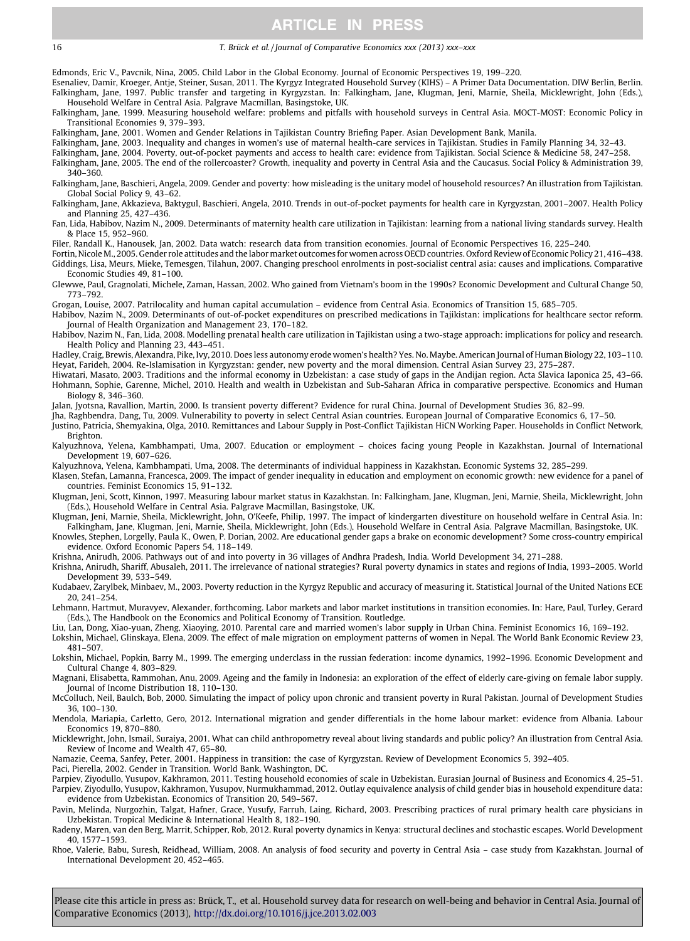#### <span id="page-15-0"></span>16 T. Brück et al. / Journal of Comparative Economics xxx (2013) xxx–xxx

Edmonds, Eric V., Pavcnik, Nina, 2005. Child Labor in the Global Economy. Journal of Economic Perspectives 19, 199–220.

Esenaliev, Damir, Kroeger, Antje, Steiner, Susan, 2011. The Kyrgyz Integrated Household Survey (KIHS) – A Primer Data Documentation. DIW Berlin, Berlin. Falkingham, Jane, 1997. Public transfer and targeting in Kyrgyzstan. In: Falkingham, Jane, Klugman, Jeni, Marnie, Sheila, Micklewright, John (Eds.), Household Welfare in Central Asia. Palgrave Macmillan, Basingstoke, UK.

Falkingham, Jane, 1999. Measuring household welfare: problems and pitfalls with household surveys in Central Asia. MOCT-MOST: Economic Policy in Transitional Economies 9, 379–393.

Falkingham, Jane, 2001. Women and Gender Relations in Tajikistan Country Briefing Paper. Asian Development Bank, Manila.

Falkingham, Jane, 2003. Inequality and changes in women's use of maternal health-care services in Tajikistan. Studies in Family Planning 34, 32-43.

Falkingham, Jane, 2004. Poverty, out-of-pocket payments and access to health care: evidence from Tajikistan. Social Science & Medicine 58, 247–258.

Falkingham, Jane, 2005. The end of the rollercoaster? Growth, inequality and poverty in Central Asia and the Caucasus. Social Policy & Administration 39, 340–360.

Falkingham, Jane, Baschieri, Angela, 2009. Gender and poverty: how misleading is the unitary model of household resources? An illustration from Tajikistan. Global Social Policy 9, 43–62.

Falkingham, Jane, Akkazieva, Baktygul, Baschieri, Angela, 2010. Trends in out-of-pocket payments for health care in Kyrgyzstan, 2001–2007. Health Policy and Planning 25, 427–436.

Fan, Lida, Habibov, Nazim N., 2009. Determinants of maternity health care utilization in Tajikistan: learning from a national living standards survey. Health & Place 15, 952–960.

Filer, Randall K., Hanousek, Jan, 2002. Data watch: research data from transition economies. Journal of Economic Perspectives 16, 225–240.

Fortin, Nicole M., 2005. Gender role attitudes and the labor market outcomes for women across OECD countries. Oxford Review of Economic Policy 21, 416–438. Giddings, Lisa, Meurs, Mieke, Temesgen, Tilahun, 2007. Changing preschool enrolments in post-socialist central asia: causes and implications. Comparative Economic Studies 49, 81–100.

Glewwe, Paul, Gragnolati, Michele, Zaman, Hassan, 2002. Who gained from Vietnam's boom in the 1990s? Economic Development and Cultural Change 50, 773–792.

Grogan, Louise, 2007. Patrilocality and human capital accumulation – evidence from Central Asia. Economics of Transition 15, 685–705.

Habibov, Nazim N., 2009. Determinants of out-of-pocket expenditures on prescribed medications in Tajikistan: implications for healthcare sector reform. Journal of Health Organization and Management 23, 170–182.

Habibov, Nazim N., Fan, Lida, 2008. Modelling prenatal health care utilization in Tajikistan using a two-stage approach: implications for policy and research. Health Policy and Planning 23, 443–451.

Hadley, Craig, Brewis, Alexandra, Pike, Ivy, 2010. Does less autonomy erode women's health? Yes. No. Maybe. American Journal of Human Biology 22, 103–110. Heyat, Farideh, 2004. Re-Islamisation in Kyrgyzstan: gender, new poverty and the moral dimension. Central Asian Survey 23, 275–287.

Hiwatari, Masato, 2003. Traditions and the informal economy in Uzbekistan: a case study of gaps in the Andijan region. Acta Slavica Iaponica 25, 43–66. Hohmann, Sophie, Garenne, Michel, 2010. Health and wealth in Uzbekistan and Sub-Saharan Africa in comparative perspective. Economics and Human Biology 8, 346–360.

Jalan, Jyotsna, Ravallion, Martin, 2000. Is transient poverty different? Evidence for rural China. Journal of Development Studies 36, 82–99.

Jha, Raghbendra, Dang, Tu, 2009. Vulnerability to poverty in select Central Asian countries. European Journal of Comparative Economics 6, 17–50.

Justino, Patricia, Shemyakina, Olga, 2010. Remittances and Labour Supply in Post-Conflict Tajikistan HiCN Working Paper. Households in Conflict Network, Brighton.

Kalyuzhnova, Yelena, Kambhampati, Uma, 2007. Education or employment – choices facing young People in Kazakhstan. Journal of International Development 19, 607–626.

Kalyuzhnova, Yelena, Kambhampati, Uma, 2008. The determinants of individual happiness in Kazakhstan. Economic Systems 32, 285–299.

Klasen, Stefan, Lamanna, Francesca, 2009. The impact of gender inequality in education and employment on economic growth: new evidence for a panel of countries. Feminist Economics 15, 91–132.

Klugman, Jeni, Scott, Kinnon, 1997. Measuring labour market status in Kazakhstan. In: Falkingham, Jane, Klugman, Jeni, Marnie, Sheila, Micklewright, John (Eds.), Household Welfare in Central Asia. Palgrave Macmillan, Basingstoke, UK.

Klugman, Jeni, Marnie, Sheila, Micklewright, John, O'Keefe, Philip, 1997. The impact of kindergarten divestiture on household welfare in Central Asia. In: Falkingham, Jane, Klugman, Jeni, Marnie, Sheila, Micklewright, John (Eds.), Household Welfare in Central Asia. Palgrave Macmillan, Basingstoke, UK.

Knowles, Stephen, Lorgelly, Paula K., Owen, P. Dorian, 2002. Are educational gender gaps a brake on economic development? Some cross-country empirical evidence. Oxford Economic Papers 54, 118–149.

Krishna, Anirudh, 2006. Pathways out of and into poverty in 36 villages of Andhra Pradesh, India. World Development 34, 271–288.

Krishna, Anirudh, Shariff, Abusaleh, 2011. The irrelevance of national strategies? Rural poverty dynamics in states and regions of India, 1993–2005. World Development 39, 533–549.

Kudabaev, Zarylbek, Minbaev, M., 2003. Poverty reduction in the Kyrgyz Republic and accuracy of measuring it. Statistical Journal of the United Nations ECE 20, 241–254.

Lehmann, Hartmut, Muravyev, Alexander, forthcoming. Labor markets and labor market institutions in transition economies. In: Hare, Paul, Turley, Gerard (Eds.), The Handbook on the Economics and Political Economy of Transition. Routledge.

Liu, Lan, Dong, Xiao-yuan, Zheng, Xiaoying, 2010. Parental care and married women's labor supply in Urban China. Feminist Economics 16, 169–192.

Lokshin, Michael, Glinskaya, Elena, 2009. The effect of male migration on employment patterns of women in Nepal. The World Bank Economic Review 23,

481–507. Lokshin, Michael, Popkin, Barry M., 1999. The emerging underclass in the russian federation: income dynamics, 1992–1996. Economic Development and Cultural Change 4, 803–829.

Magnani, Elisabetta, Rammohan, Anu, 2009. Ageing and the family in Indonesia: an exploration of the effect of elderly care-giving on female labor supply. Journal of Income Distribution 18, 110–130.

McColluch, Neil, Baulch, Bob, 2000. Simulating the impact of policy upon chronic and transient poverty in Rural Pakistan. Journal of Development Studies 36, 100–130.

Mendola, Mariapia, Carletto, Gero, 2012. International migration and gender differentials in the home labour market: evidence from Albania. Labour Economics 19, 870–880.

Micklewright, John, Ismail, Suraiya, 2001. What can child anthropometry reveal about living standards and public policy? An illustration from Central Asia. Review of Income and Wealth 47, 65–80.

Namazie, Ceema, Sanfey, Peter, 2001. Happiness in transition: the case of Kyrgyzstan. Review of Development Economics 5, 392–405.

Paci, Pierella, 2002. Gender in Transition. World Bank, Washington, DC.

Parpiev, Ziyodullo, Yusupov, Kakhramon, 2011. Testing household economies of scale in Uzbekistan. Eurasian Journal of Business and Economics 4, 25–51. Parpiev, Ziyodullo, Yusupov, Kakhramon, Yusupov, Nurmukhammad, 2012. Outlay equivalence analysis of child gender bias in household expenditure data: evidence from Uzbekistan. Economics of Transition 20, 549–567.

Pavin, Melinda, Nurgozhin, Talgat, Hafner, Grace, Yusufy, Farruh, Laing, Richard, 2003. Prescribing practices of rural primary health care physicians in Uzbekistan. Tropical Medicine & International Health 8, 182–190.

Radeny, Maren, van den Berg, Marrit, Schipper, Rob, 2012. Rural poverty dynamics in Kenya: structural declines and stochastic escapes. World Development 40, 1577–1593.

Rhoe, Valerie, Babu, Suresh, Reidhead, William, 2008. An analysis of food security and poverty in Central Asia – case study from Kazakhstan. Journal of International Development 20, 452–465.